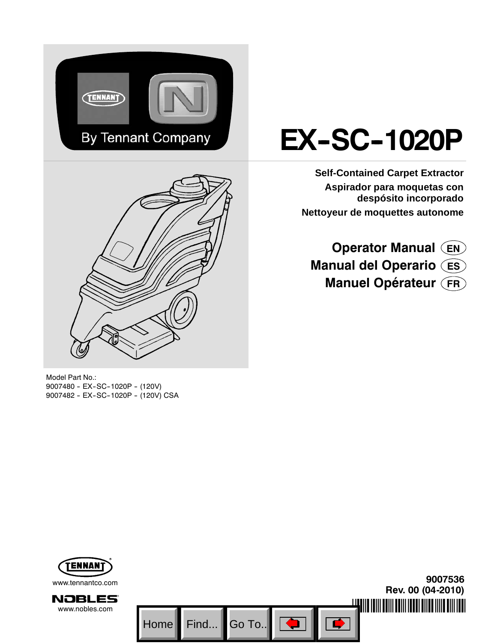



Model Part No.: 9007480 - EX-SC-1020P - (120V) 9007482 - EX-SC-1020P - (120V) CSA

# **EX-SC-1020P**

**Self-Contained Carpet Extractor Aspirador para moquetas con despósito incorporado Nettoyeur de moquettes autonome**

# **Operator Manual EN Manual del Operario ES Manuel Opérateur FR**

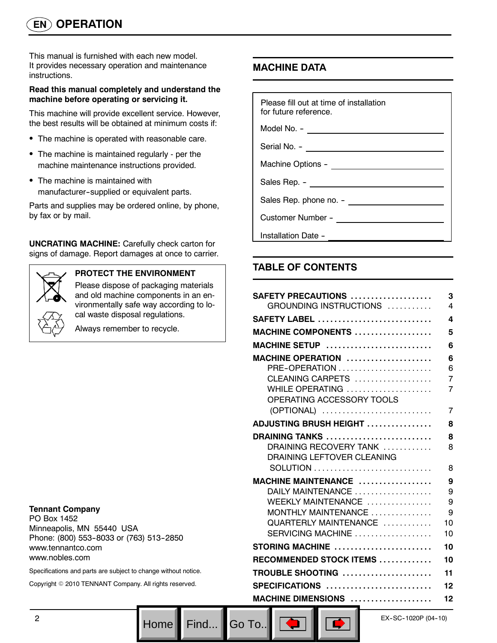This manual is furnished with each new model. It provides necessary operation and maintenance instructions.

#### **Read this manual completely and understand the machine before operating or servicing it.**

This machine will provide excellent service. However, the best results will be obtained at minimum costs if:

- The machine is operated with reasonable care.
- The machine is maintained regularly per the machine maintenance instructions provided.
- The machine is maintained with manufacturer--supplied or equivalent parts.

Parts and supplies may be ordered online, by phone, by fax or by mail.

**UNCRATING MACHINE:** Carefully check carton for signs of damage. Report damages at once to carrier.



### **PROTECT THE ENVIRONMENT**

Please dispose of packaging materials and old machine components in an environmentally safe way according to local waste disposal regulations.

Always remember to recycle.

#### **Tennant Company**

PO Box 1452 Minneapolis, MN 55440 USA Phone: (800) 553-8033 or (763) 513-2850 www.tennantco.com www.nobles.com

Specifications and parts are subject to change without notice.

Copyright © 2010 TENNANT Company. All rights reserved.

# **MACHINE DATA**

| Please fill out at time of installation<br>for future reference. |  |  |  |  |
|------------------------------------------------------------------|--|--|--|--|
| Model No. - _______________________                              |  |  |  |  |
|                                                                  |  |  |  |  |
|                                                                  |  |  |  |  |
|                                                                  |  |  |  |  |
|                                                                  |  |  |  |  |
|                                                                  |  |  |  |  |
| Installation Date -                                              |  |  |  |  |

# **TABLE OF CONTENTS**

| SAFETY PRECAUTIONS<br>GROUNDING INSTRUCTIONS                                                                                                                     | 3<br>4                       |
|------------------------------------------------------------------------------------------------------------------------------------------------------------------|------------------------------|
| <b>SAFETY LABEL</b>                                                                                                                                              | 4                            |
| <b>MACHINE COMPONENTS </b>                                                                                                                                       | 5                            |
| MACHINE SETUP                                                                                                                                                    | 6                            |
| MACHINE OPERATION<br>PRE-OPERATION<br>CLEANING CARPETS<br>WHILE OPERATING $\ldots \ldots \ldots \ldots \ldots \ldots$<br>OPERATING ACCESSORY TOOLS<br>(OPTIONAL) | 6<br>6<br>7<br>7<br>7        |
| <b>ADJUSTING BRUSH HEIGHT </b>                                                                                                                                   | 8                            |
| DRAINING TANKS<br>DRAINING RECOVERY TANK<br>DRAINING LEFTOVER CLEANING                                                                                           | 8<br>8<br>8                  |
| MACHINE MAINTENANCE<br>DAILY MAINTENANCE<br>WEEKLY MAINTENANCE<br>MONTHLY MAINTENANCE<br>QUARTERLY MAINTENANCE<br>SERVICING MACHINE                              | 9<br>9<br>9<br>9<br>10<br>10 |
| STORING MACHINE                                                                                                                                                  | 10                           |
| RECOMMENDED STOCK ITEMS                                                                                                                                          | 10                           |
| TROUBLE SHOOTING                                                                                                                                                 | 11                           |
| SPECIFICATIONS                                                                                                                                                   | 12                           |
| MACHINE DIMENSIONS                                                                                                                                               | 12                           |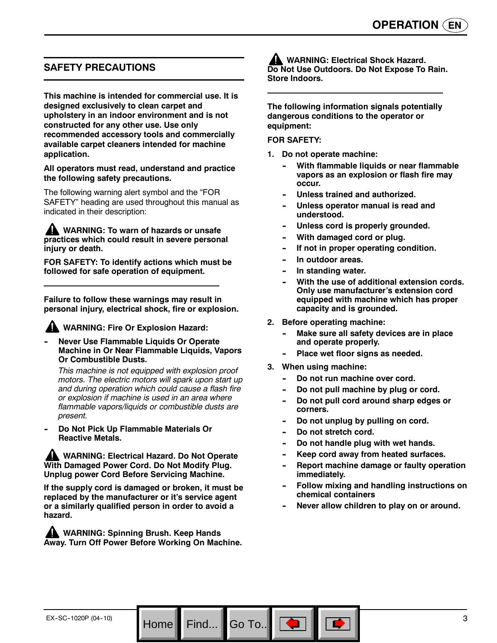# **SAFETY PRECAUTIONS**

**This machine is intended for commercial use. It is designed exclusively to clean carpet and upholstery in an indoor environment and is not constructed for any other use. Use only recommended accessory tools and commercially available carpet cleaners intended for machine application.**

#### **All operators must read, understand and practice the following safety precautions.**

The following warning alert symbol and the "FOR SAFETY" heading are used throughout this manual as indicated in their description:

**WARNING: To warn of hazards or unsafe practices which could result in severe personal injury or death.**

**FOR SAFETY: To identify actions which must be followed for safe operation of equipment.**

**Failure to follow these warnings may result in personal injury, electrical shock, fire or explosion.**

#### **WARNING: Fire Or Explosion Hazard:**

**Never Use Flammable Liquids Or Operate Machine in Or Near Flammable Liquids, Vapors Or Combustible Dusts.**

*This machine is not equipped with explosion proof motors. The electric motors will spark upon start up and during operation which could cause a flash fire or explosion if machine is used in an area where flammable vapors/liquids or combustible dusts are present.*

**Do Not Pick Up Flammable Materials Or Reactive Metals.**

**WARNING: Electrical Hazard. Do Not Operate With Damaged Power Cord. Do Not Modify Plug. Unplug power Cord Before Servicing Machine.**

**If the supply cord is damaged or broken, it must be replaced by the manufacturer or it's service agent or a similarly qualified person in order to avoid a hazard.**

**WARNING: Spinning Brush. Keep Hands Away. Turn Off Power Before Working On Machine.**

**WARNING: Electrical Shock Hazard. Do Not Use Outdoors. Do Not Expose To Rain. Store Indoors.**

**The following information signals potentially dangerous conditions to the operator or equipment:**

#### **FOR SAFETY:**

- **1. Do not operate machine:**
	- **With flammable liquids or near flammable vapors as an explosion or flash fire may occur.**
	- Unless trained and authorized.
	- Unless operator manual is read and **understood.**
	- Unless cord is properly grounded.
	- **With damaged cord or plug.**
	- **If not in proper operating condition.**
	- In outdoor areas.
	- **In standing water.**
	- With the use of additional extension cords. **Only use manufacturer's extension cord equipped with machine which has proper capacity and is grounded.**
- **2. Before operating machine:**
	- **Make sure all safety devices are in place and operate properly.**
	- Place wet floor signs as needed.
- **3. When using machine:**
	- Do not run machine over cord.
	- Do not pull machine by plug or cord.
	- Do not pull cord around sharp edges or **corners.**
	- Do not unplug by pulling on cord.
	- Do not stretch cord.

Go To.. $\blacksquare$ 

- Do not handle plug with wet hands.
- Keep cord away from heated surfaces.
- **Report machine damage or faulty operation immediately.**
- **Follow mixing and handling instructions on chemical containers**
- Never allow children to play on or around.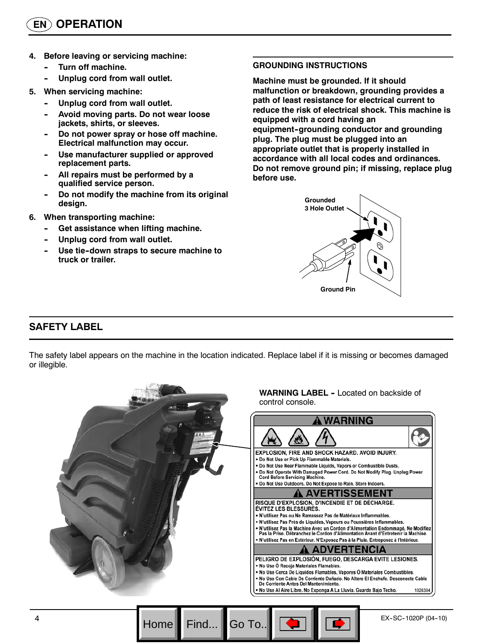- **4. Before leaving or servicing machine:**
	- **Turn off machine.**
	- Unplug cord from wall outlet.
- **5. When servicing machine:**
	- Unplug cord from wall outlet.
	- Avoid moving parts. Do not wear loose **jackets, shirts, or sleeves.**
	- Do not power spray or hose off machine. **Electrical malfunction may occur.**
	- Use manufacturer supplied or approved **replacement parts.**
	- All repairs must be performed by a **qualified service person.**
	- Do not modify the machine from its original **design.**
- **6. When transporting machine:**
	- **Get assistance when lifting machine.**
	- Unplug cord from wall outlet.
	- Use tie-down straps to secure machine to **truck or trailer.**

#### **GROUNDING INSTRUCTIONS**

**Machine must be grounded. If it should malfunction or breakdown, grounding provides a path of least resistance for electrical current to reduce the risk of electrical shock. This machine is equipped with a cord having an** equipment-grounding conductor and grounding **plug. The plug must be plugged into an appropriate outlet that is properly installed in accordance with all local codes and ordinances. Do not remove ground pin; if missing, replace plug before use.**



# **SAFETY LABEL**

The safety label appears on the machine in the location indicated. Replace label if it is missing or becomes damaged or illegible.

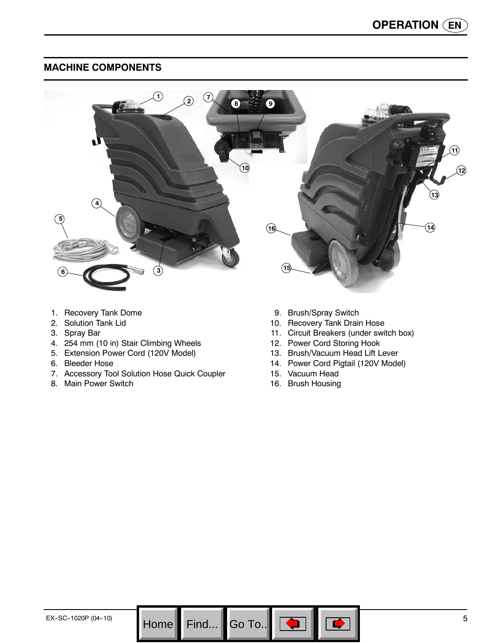# **MACHINE COMPONENTS**



- 1. Recovery Tank Dome
- 2. Solution Tank Lid
- 3. Spray Bar
- 4. 254 mm (10 in) Stair Climbing Wheels
- 5. Extension Power Cord (120V Model)
- 6. Bleeder Hose
- 7. Accessory Tool Solution Hose Quick Coupler
- 8. Main Power Switch
- 9. Brush/Spray Switch
- 10. Recovery Tank Drain Hose
- 11. Circuit Breakers (under switch box)
- 12. Power Cord Storing Hook
- 13. Brush/Vacuum Head Lift Lever
- 14. Power Cord Pigtail (120V Model)
- 15. Vacuum Head
- 16. Brush Housing

Go To.. $\|$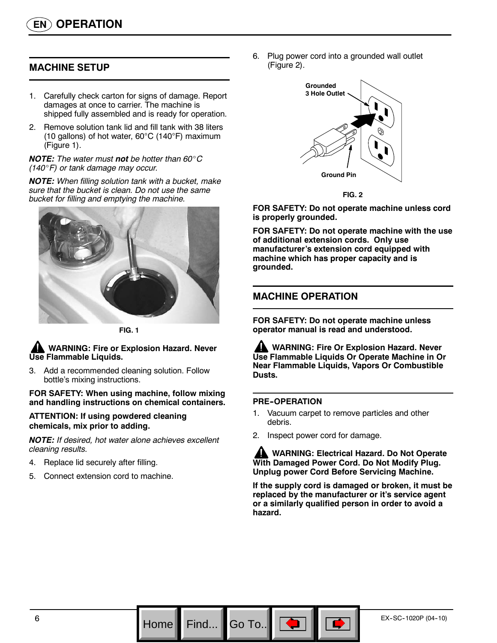# **MACHINE SETUP**

- 1. Carefully check carton for signs of damage. Report damages at once to carrier. The machine is shipped fully assembled and is ready for operation.
- 2. Remove solution tank lid and fill tank with 38 liters (10 gallons) of hot water, 60°C (140°F) maximum (Figure 1).

*NOTE: The water must not be hotter than 60*\_*C (140*\_*F) or tank damage may occur.*

*NOTE: When filling solution tank with a bucket, make sure that the bucket is clean. Do not use the same bucket for filling and emptying the machine.*



**FIG. 1**

#### **WARNING: Fire or Explosion Hazard. Never Use Flammable Liquids.**

3. Add a recommended cleaning solution. Follow bottle's mixing instructions.

**FOR SAFETY: When using machine, follow mixing and handling instructions on chemical containers.**

#### **ATTENTION: If using powdered cleaning chemicals, mix prior to adding.**

*NOTE: If desired, hot water alone achieves excellent cleaning results.*

- 4. Replace lid securely after filling.
- 5. Connect extension cord to machine.

6. Plug power cord into a grounded wall outlet (Figure 2).



**FIG. 2**

**FOR SAFETY: Do not operate machine unless cord is properly grounded.**

**FOR SAFETY: Do not operate machine with the use of additional extension cords. Only use manufacturer's extension cord equipped with machine which has proper capacity and is grounded.**

# **MACHINE OPERATION**

**FOR SAFETY: Do not operate machine unless operator manual is read and understood.**

**WARNING: Fire Or Explosion Hazard. Never Use Flammable Liquids Or Operate Machine in Or Near Flammable Liquids, Vapors Or Combustible Dusts.**

#### **PRE-OPERATION**

Go To.

- 1. Vacuum carpet to remove particles and other debris.
- 2. Inspect power cord for damage.

**WARNING: Electrical Hazard. Do Not Operate With Damaged Power Cord. Do Not Modify Plug. Unplug power Cord Before Servicing Machine.**

**If the supply cord is damaged or broken, it must be replaced by the manufacturer or it's service agent or a similarly qualified person in order to avoid a hazard.**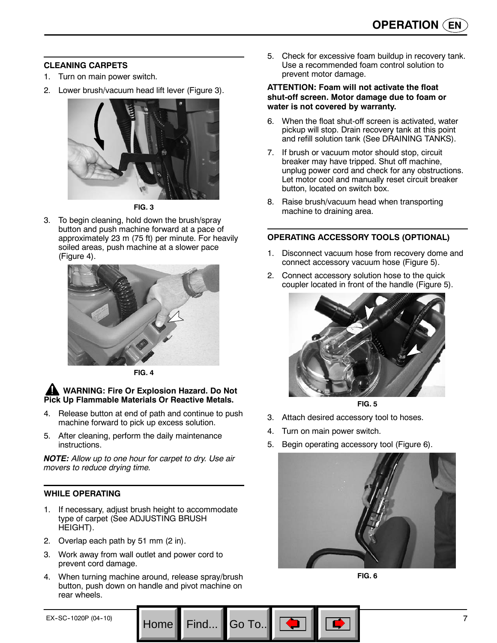#### **CLEANING CARPETS**

- 1. Turn on main power switch.
- 2. Lower brush/vacuum head lift lever (Figure 3).



**FIG. 3**

3. To begin cleaning, hold down the brush/spray button and push machine forward at a pace of approximately 23 m (75 ft) per minute. For heavily soiled areas, push machine at a slower pace (Figure 4).



**FIG. 4**

#### **A** WARNING: Fire Or Explosion Hazard. Do Not **Pick Up Flammable Materials Or Reactive Metals.**

- 4. Release button at end of path and continue to push machine forward to pick up excess solution.
- 5. After cleaning, perform the daily maintenance instructions.

*NOTE: Allow up to one hour for carpet to dry. Use air movers to reduce drying time.*

# **WHILE OPERATING**

- 1. If necessary, adjust brush height to accommodate type of carpet (See ADJUSTING BRUSH HEIGHT).
- 2. Overlap each path by 51 mm (2 in).
- 3. Work away from wall outlet and power cord to prevent cord damage.
- 4. When turning machine around, release spray/brush button, push down on handle and pivot machine on rear wheels.

Go To.

5. Check for excessive foam buildup in recovery tank. Use a recommended foam control solution to prevent motor damage.

#### **ATTENTION: Foam will not activate the float shut-off screen. Motor damage due to foam or water is not covered by warranty.**

- 6. When the float shut-off screen is activated, water pickup will stop. Drain recovery tank at this point and refill solution tank (See DRAINING TANKS).
- 7. If brush or vacuum motor should stop, circuit breaker may have tripped. Shut off machine, unplug power cord and check for any obstructions. Let motor cool and manually reset circuit breaker button, located on switch box.
- 8. Raise brush/vacuum head when transporting machine to draining area.

# **OPERATING ACCESSORY TOOLS (OPTIONAL)**

- 1. Disconnect vacuum hose from recovery dome and connect accessory vacuum hose (Figure 5).
- 2. Connect accessory solution hose to the quick coupler located in front of the handle (Figure 5).





- 3. Attach desired accessory tool to hoses.
- 4. Turn on main power switch.
- 5. Begin operating accessory tool (Figure 6).



**FIG. 6**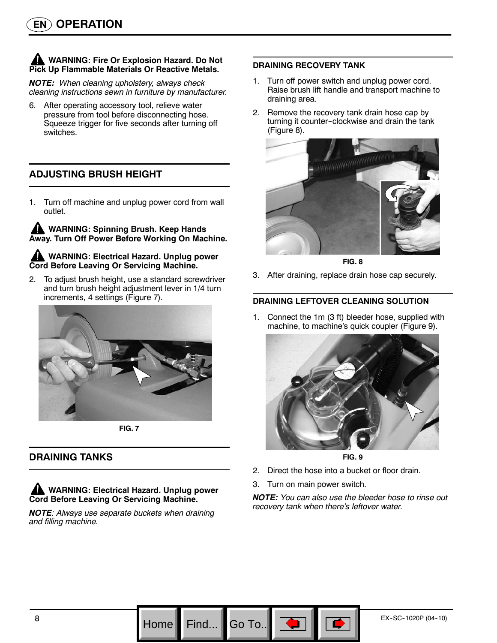### **WARNING: Fire Or Explosion Hazard. Do Not Pick Up Flammable Materials Or Reactive Metals.**

*NOTE: When cleaning upholstery, always check cleaning instructions sewn in furniture by manufacturer.*

6. After operating accessory tool, relieve water pressure from tool before disconnecting hose. Squeeze trigger for five seconds after turning off switches.

# **ADJUSTING BRUSH HEIGHT**

1. Turn off machine and unplug power cord from wall outlet.

**WARNING: Spinning Brush. Keep Hands Away. Turn Off Power Before Working On Machine.**

#### **WARNING: Electrical Hazard. Unplug power Cord Before Leaving Or Servicing Machine.**

2. To adjust brush height, use a standard screwdriver and turn brush height adjustment lever in 1/4 turn increments, 4 settings (Figure 7).



**FIG. 7**

# **DRAINING TANKS**

**WARNING: Electrical Hazard. Unplug power Cord Before Leaving Or Servicing Machine.**

*NOTE: Always use separate buckets when draining and filling machine.*

#### **DRAINING RECOVERY TANK**

- 1. Turn off power switch and unplug power cord. Raise brush lift handle and transport machine to draining area.
- 2. Remove the recovery tank drain hose cap by turning it counter-clockwise and drain the tank (Figure 8).



**FIG. 8**

3. After draining, replace drain hose cap securely.

#### **DRAINING LEFTOVER CLEANING SOLUTION**

1. Connect the 1m (3 ft) bleeder hose, supplied with machine, to machine's quick coupler (Figure 9).



**FIG. 9**

- 2. Direct the hose into a bucket or floor drain.
- 3. Turn on main power switch.

Go To.

*NOTE: You can also use the bleeder hose to rinse out recovery tank when there's leftover water.*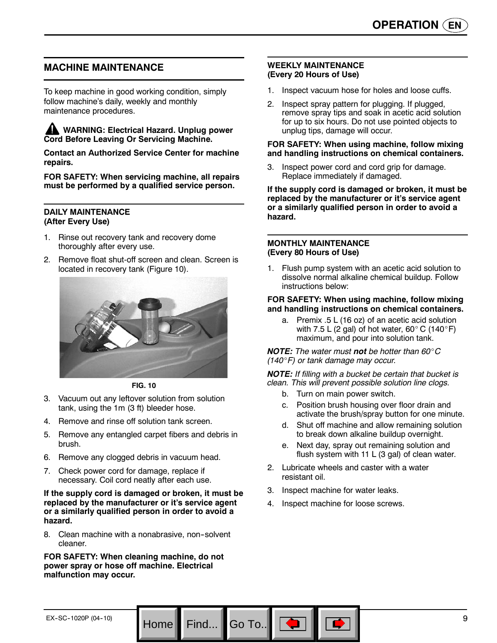### **MACHINE MAINTENANCE**

To keep machine in good working condition, simply follow machine's daily, weekly and monthly maintenance procedures.

**WARNING: Electrical Hazard. Unplug power Cord Before Leaving Or Servicing Machine.**

**Contact an Authorized Service Center for machine repairs.**

**FOR SAFETY: When servicing machine, all repairs must be performed by a qualified service person.**

#### **DAILY MAINTENANCE (After Every Use)**

- Rinse out recovery tank and recovery dome thoroughly after every use.
- 2. Remove float shut-off screen and clean. Screen is located in recovery tank (Figure 10).



**FIG. 10**

- 3. Vacuum out any leftover solution from solution tank, using the 1m (3 ft) bleeder hose.
- 4. Remove and rinse off solution tank screen.
- 5. Remove any entangled carpet fibers and debris in brush.
- 6. Remove any clogged debris in vacuum head.
- 7. Check power cord for damage, replace if necessary. Coil cord neatly after each use.

**If the supply cord is damaged or broken, it must be replaced by the manufacturer or it's service agent or a similarly qualified person in order to avoid a hazard.**

8. Clean machine with a nonabrasive, non-solvent cleaner.

**FOR SAFETY: When cleaning machine, do not power spray or hose off machine. Electrical malfunction may occur.**

#### **WEEKLY MAINTENANCE (Every 20 Hours of Use)**

- 1. Inspect vacuum hose for holes and loose cuffs.
- 2. Inspect spray pattern for plugging. If plugged, remove spray tips and soak in acetic acid solution for up to six hours. Do not use pointed objects to unplug tips, damage will occur.

#### **FOR SAFETY: When using machine, follow mixing and handling instructions on chemical containers.**

Inspect power cord and cord grip for damage. Replace immediately if damaged.

**If the supply cord is damaged or broken, it must be replaced by the manufacturer or it's service agent or a similarly qualified person in order to avoid a hazard.**

#### **MONTHLY MAINTENANCE (Every 80 Hours of Use)**

1. Flush pump system with an acetic acid solution to dissolve normal alkaline chemical buildup. Follow instructions below:

#### **FOR SAFETY: When using machine, follow mixing and handling instructions on chemical containers.**

a. Premix .5 L (16 oz) of an acetic acid solution with 7.5 L (2 gal) of hot water,  $60^{\circ}$  C (140 $^{\circ}$ F) maximum, and pour into solution tank.

*NOTE: The water must not be hotter than 60*\_*C (140*\_*F) or tank damage may occur.*

*NOTE: If filling with a bucket be certain that bucket is clean. This will prevent possible solution line clogs.*

- b. Turn on main power switch.
- c. Position brush housing over floor drain and activate the brush/spray button for one minute.
- d. Shut off machine and allow remaining solution to break down alkaline buildup overnight.
- e. Next day, spray out remaining solution and flush system with 11 L (3 gal) of clean water.
- 2. Lubricate wheels and caster with a water resistant oil.
- 3. Inspect machine for water leaks.
- 4. Inspect machine for loose screws.

Go To.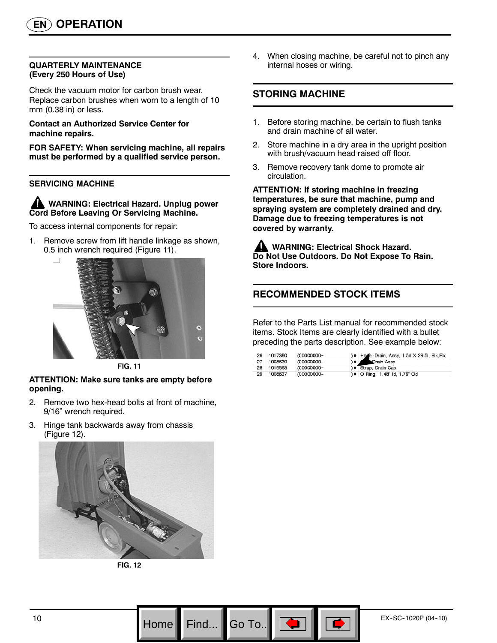#### **QUARTERLY MAINTENANCE (Every 250 Hours of Use)**

Check the vacuum motor for carbon brush wear. Replace carbon brushes when worn to a length of 10 mm (0.38 in) or less.

**Contact an Authorized Service Center for machine repairs.**

**FOR SAFETY: When servicing machine, all repairs must be performed by a qualified service person.**

#### **SERVICING MACHINE**

**WARNING: Electrical Hazard. Unplug power Cord Before Leaving Or Servicing Machine.**

To access internal components for repair:

1. Remove screw from lift handle linkage as shown, 0.5 inch wrench required (Figure 11).



**FIG. 11**

#### **ATTENTION: Make sure tanks are empty before opening.**

- 2. Remove two hex-head bolts at front of machine, 9/16" wrench required.
- 3. Hinge tank backwards away from chassis (Figure 12).





4. When closing machine, be careful not to pinch any internal hoses or wiring.

# **STORING MACHINE**

- 1. Before storing machine, be certain to flush tanks and drain machine of all water.
- 2. Store machine in a dry area in the upright position with brush/vacuum head raised off floor.
- 3. Remove recovery tank dome to promote air circulation.

**ATTENTION: If storing machine in freezing temperatures, be sure that machine, pump and spraying system are completely drained and dry. Damage due to freezing temperatures is not covered by warranty.**

**WARNING: Electrical Shock Hazard. Do Not Use Outdoors. Do Not Expose To Rain. Store Indoors.**

# **RECOMMENDED STOCK ITEMS**

Refer to the Parts List manual for recommended stock items. Stock Items are clearly identified with a bullet preceding the parts description. See example below:

| 26 | 1017380    | (00000000- | ) . Hose, Drain, Assy, 1.5d X 29.5l, Blk, Flx |
|----|------------|------------|-----------------------------------------------|
| 27 | 1008639    | (00000000- | Drain Assy                                    |
|    | 28 1019563 | (00000000- | ) · Strap, Drain Cap                          |
| 29 | 1008637    | (00000000- | ) • O Ring, 1.48" Id, 1.76" Od                |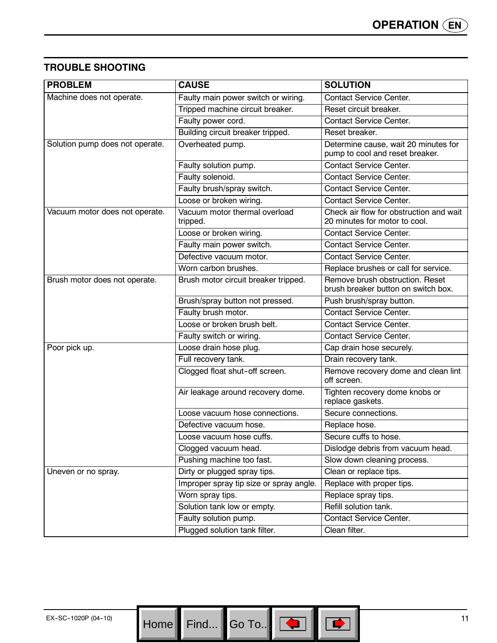# **TROUBLE SHOOTING**

| <b>PROBLEM</b>                  | <b>CAUSE</b>                              | <b>SOLUTION</b>                                                          |
|---------------------------------|-------------------------------------------|--------------------------------------------------------------------------|
| Machine does not operate.       | Faulty main power switch or wiring.       | <b>Contact Service Center.</b>                                           |
|                                 | Tripped machine circuit breaker.          | Reset circuit breaker.                                                   |
|                                 | Faulty power cord.                        | <b>Contact Service Center.</b>                                           |
|                                 | Building circuit breaker tripped.         | Reset breaker.                                                           |
| Solution pump does not operate. | Overheated pump.                          | Determine cause, wait 20 minutes for<br>pump to cool and reset breaker.  |
|                                 | Faulty solution pump.                     | <b>Contact Service Center.</b>                                           |
|                                 | Faulty solenoid.                          | <b>Contact Service Center.</b>                                           |
|                                 | Faulty brush/spray switch.                | <b>Contact Service Center.</b>                                           |
|                                 | Loose or broken wiring.                   | <b>Contact Service Center.</b>                                           |
| Vacuum motor does not operate.  | Vacuum motor thermal overload<br>tripped. | Check air flow for obstruction and wait<br>20 minutes for motor to cool. |
|                                 | Loose or broken wiring.                   | <b>Contact Service Center.</b>                                           |
|                                 | Faulty main power switch.                 | <b>Contact Service Center.</b>                                           |
|                                 | Defective vacuum motor.                   | <b>Contact Service Center.</b>                                           |
|                                 | Worn carbon brushes.                      | Replace brushes or call for service.                                     |
| Brush motor does not operate.   | Brush motor circuit breaker tripped.      | Remove brush obstruction. Reset<br>brush breaker button on switch box.   |
|                                 | Brush/spray button not pressed.           | Push brush/spray button.                                                 |
|                                 | Faulty brush motor.                       | <b>Contact Service Center.</b>                                           |
|                                 | Loose or broken brush belt.               | <b>Contact Service Center.</b>                                           |
|                                 | Faulty switch or wiring.                  | <b>Contact Service Center.</b>                                           |
| Poor pick up.                   | Loose drain hose plug.                    | Cap drain hose securely.                                                 |
|                                 | Full recovery tank.                       | Drain recovery tank.                                                     |
|                                 | Clogged float shut-off screen.            | Remove recovery dome and clean lint<br>off screen.                       |
|                                 | Air leakage around recovery dome.         | Tighten recovery dome knobs or<br>replace gaskets.                       |
|                                 | Loose vacuum hose connections.            | Secure connections.                                                      |
|                                 | Defective vacuum hose.                    | Replace hose.                                                            |
|                                 | Loose vacuum hose cuffs.                  | Secure cuffs to hose.                                                    |
|                                 | Clogged vacuum head.                      | Dislodge debris from vacuum head.                                        |
|                                 | Pushing machine too fast.                 | Slow down cleaning process.                                              |
| Uneven or no spray.             | Dirty or plugged spray tips.              | Clean or replace tips.                                                   |
|                                 | Improper spray tip size or spray angle.   | Replace with proper tips.                                                |
|                                 | Worn spray tips.                          | Replace spray tips.                                                      |
|                                 | Solution tank low or empty.               | Refill solution tank.                                                    |
|                                 | Faulty solution pump.                     | <b>Contact Service Center.</b>                                           |
|                                 | Plugged solution tank filter.             | Clean filter.                                                            |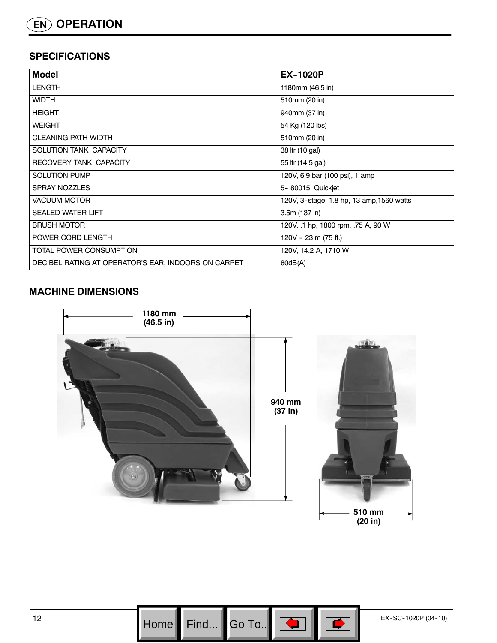# **SPECIFICATIONS**

| <b>Model</b>                                        | <b>EX-1020P</b>                           |
|-----------------------------------------------------|-------------------------------------------|
| <b>LENGTH</b>                                       | 1180mm (46.5 in)                          |
| <b>WIDTH</b>                                        | 510mm (20 in)                             |
| <b>HEIGHT</b>                                       | 940mm (37 in)                             |
| <b>WEIGHT</b>                                       | 54 Kg (120 lbs)                           |
| <b>CLEANING PATH WIDTH</b>                          | 510mm (20 in)                             |
| SOLUTION TANK CAPACITY                              | 38 ltr (10 gal)                           |
| RECOVERY TANK CAPACITY                              | 55 ltr (14.5 gal)                         |
| <b>SOLUTION PUMP</b>                                | 120V, 6.9 bar (100 psi), 1 amp            |
| <b>SPRAY NOZZLES</b>                                | 5-80015 Quickjet                          |
| VACUUM MOTOR                                        | 120V, 3-stage, 1.8 hp, 13 amp, 1560 watts |
| <b>SEALED WATER LIFT</b>                            | $3.5m(137)$ in)                           |
| <b>BRUSH MOTOR</b>                                  | 120V, .1 hp, 1800 rpm, .75 A, 90 W        |
| POWER CORD LENGTH                                   | 120V - 23 m (75 ft.)                      |
| TOTAL POWER CONSUMPTION                             | 120V, 14.2 A, 1710 W                      |
| DECIBEL RATING AT OPERATOR'S EAR, INDOORS ON CARPET | 80dB(A)                                   |

# **MACHINE DIMENSIONS**



Find...  $\parallel$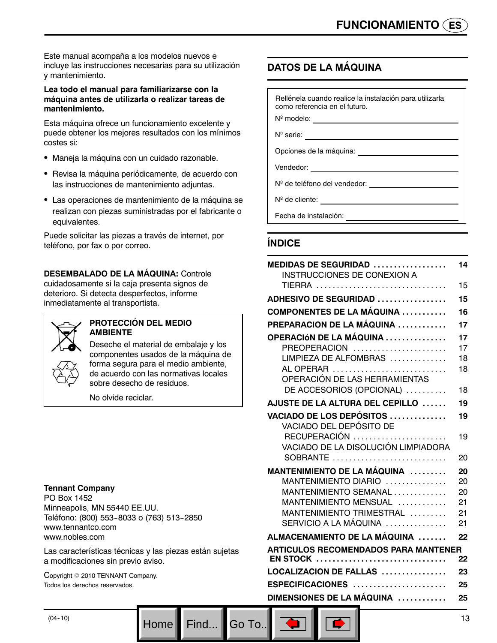Este manual acompaña a los modelos nuevos e incluye las instrucciones necesarias para su utilización y mantenimiento.

#### **Lea todo el manual para familiarizarse con la máquina antes de utilizarla o realizar tareas de mantenimiento.**

Esta máquina ofrece un funcionamiento excelente y puede obtener los mejores resultados con los mínimos costes si:

- Maneja la máquina con un cuidado razonable.
- Revisa la máquina periódicamente, de acuerdo con las instrucciones de mantenimiento adjuntas.
- Las operaciones de mantenimiento de la máquina se realizan con piezas suministradas por el fabricante o equivalentes.

Puede solicitar las piezas a través de internet, por teléfono, por fax o por correo.

#### **DESEMBALADO DE LA MÁQUINA:** Controle cuidadosamente si la caja presenta signos de deterioro. Si detecta desperfectos, informe inmediatamente al transportista.



#### **PROTECCIÓN DEL MEDIO AMBIENTE**

Deseche el material de embalaje y los componentes usados de la máquina de forma segura para el medio ambiente, de acuerdo con las normativas locales sobre desecho de residuos.

No olvide reciclar.

#### **Tennant Company**

PO Box 1452 Minneapolis, MN 55440 EE.UU. Teléfono: (800) 553-8033 o (763) 513-2850 www.tennantco.com www.nobles.com

Las características técnicas y las piezas están sujetas a modificaciones sin previo aviso.

Home Find... Go To..

Copyright © 2010 TENNANT Company. Todos los derechos reservados.

# **DATOS DE LA MÁQUINA**

| Rellénela cuando realice la instalación para utilizarla<br>como referencia en el futuro. |
|------------------------------------------------------------------------------------------|
| $N^{\circ}$ modelo: $\qquad \qquad \qquad$                                               |
|                                                                                          |
| Opciones de la máquina:<br><u> Opciones</u> de la máquina:                               |
| Vendedor:<br><u> 1989 - Andrea State Barbara, amerikan per</u>                           |
|                                                                                          |
| N <sup>o</sup> de cliente:                                                               |
|                                                                                          |

# **ÍNDICE**

| MEDIDAS DE SEGURIDAD<br>INSTRUCCIONES DE CONEXION A                 | 14       |
|---------------------------------------------------------------------|----------|
| TIERRA                                                              | 15       |
| <b>ADHESIVO DE SEGURIDAD </b>                                       | 15       |
| <b>COMPONENTES DE LA MÁQUINA </b>                                   | 16       |
| PREPARACION DE LA MÁQUINA                                           | 17       |
| OPERACIÓN DE LA MÁQUINA<br>PREOPERACION                             | 17<br>17 |
| LIMPIEZA DE ALFOMBRAS<br>AL OPERAR<br>OPERACIÓN DE LAS HERRAMIENTAS | 18<br>18 |
| DE ACCESORIOS (OPCIONAL)                                            | 18       |
| AJUSTE DE LA ALTURA DEL CEPILLO                                     | 19       |
| VACIADO DE LOS DEPÓSITOS<br>VACIADO DEL DEPÓSITO DE                 | 19       |
| VACIADO DE LA DISOLUCIÓN LIMPIADORA                                 | 19       |
| SOBRANTE                                                            | 20       |
| MANTENIMIENTO DE LA MÁQUINA ,,,,,,,,                                | 20       |
| MANTENIMIENTO DIARIO                                                | 20       |
| MANTENIMIENTO SEMANAL<br>MANTENIMIENTO MENSUAL                      | 20<br>21 |
| MANTENIMIENTO TRIMESTRAL                                            | 21       |
| SERVICIO A LA MÁQUINA                                               | 21       |
| ALMACENAMIENTO DE LA MÁQUINA                                        | 22       |
| <b>ARTICULOS RECOMENDADOS PARA MANTENER</b>                         |          |
| <b>EN STOCK</b>                                                     | 22       |
| LOCALIZACION DE FALLAS                                              | 23       |
| $ESPECIFICACIONES$                                                  | 25       |
| DIMENSIONES DE LA MÁQUINA                                           | 25       |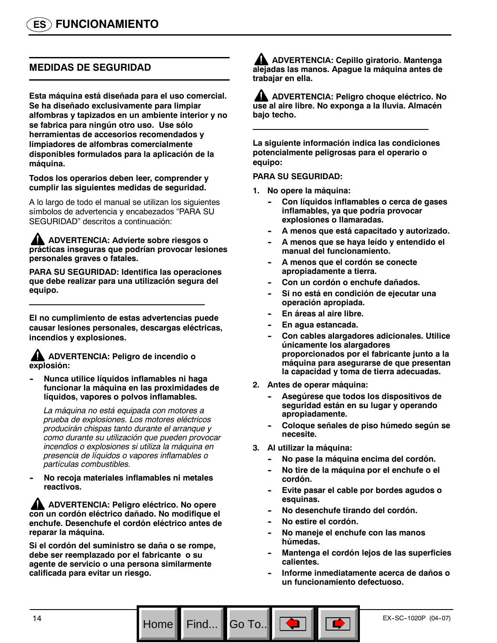# **MEDIDAS DE SEGURIDAD**

**Esta máquina está diseñada para el uso comercial. Se ha diseñado exclusivamente para limpiar alfombras y tapizados en un ambiente interior y no se fabrica para ningún otro uso. Use sólo herramientas de accesorios recomendados y limpiadores de alfombras comercialmente disponibles formulados para la aplicación de la máquina.**

**Todos los operarios deben leer, comprender y cumplir las siguientes medidas de seguridad.**

A lo largo de todo el manual se utilizan los siguientes símbolos de advertencia y encabezados "PARA SU SEGURIDAD" descritos a continuación:

**ADVERTENCIA: Advierte sobre riesgos o prácticas inseguras que podrían provocar lesiones personales graves o fatales.**

**PARA SU SEGURIDAD: Identifica las operaciones que debe realizar para una utilización segura del equipo.**

**El no cumplimiento de estas advertencias puede causar lesiones personales, descargas eléctricas, incendios y explosiones.**

#### **ADVERTENCIA: Peligro de incendio o explosión:**

**-- Nunca utilice líquidos inflamables ni haga funcionar la máquina en las proximidades de líquidos, vapores o polvos inflamables.**

*La máquina no está equipada con motores a prueba de explosiones. Los motores eléctricos producirán chispas tanto durante el arranque y como durante su utilización que pueden provocar incendios o explosiones si utiliza la máquina en presencia de líquidos o vapores inflamables o partículas combustibles.*

**-- No recoja materiales inflamables ni metales reactivos.**

**ADVERTENCIA: Peligro eléctrico. No opere con un cordón eléctrico dañado. No modifique el enchufe. Desenchufe el cordón eléctrico antes de reparar la máquina.**

**Si el cordón del suministro se daña o se rompe, debe ser reemplazado por el fabricante o su agente de servicio o una persona similarmente calificada para evitar un riesgo.**

**ADVERTENCIA: Cepillo giratorio. Mantenga alejadas las manos. Apague la máquina antes de trabajar en ella.**

**ADVERTENCIA: Peligro choque eléctrico. No use al aire libre. No exponga a la lluvia. Almacén bajo techo.**

**La siguiente información indica las condiciones potencialmente peligrosas para el operario o equipo:**

#### **PARA SU SEGURIDAD:**

- **1. No opere la máquina:**
	- Con líquidos inflamables o cerca de gases **inflamables, ya que podría provocar explosiones o llamaradas.**
	- **-- A menos que está capacitado y autorizado.**
	- A menos que se haya leído y entendido el **manual del funcionamiento.**
	- A menos que el cordón se conecte **apropiadamente a tierra.**
	- Con un cordón o enchufe dañados.
	- Si no está en condición de ejecutar una **operación apropiada.**
	- **En áreas al aire libre.**
	- **-- En agua estancada.**
	- Con cables alargadores adicionales. Utilice **únicamente los alargadores proporcionados por el fabricante junto a la máquina para asegurarse de que presentan la capacidad y toma de tierra adecuadas.**
- **2. Antes de operar máquina:**
	- Asegúrese que todos los dispositivos de **seguridad están en su lugar y operando apropiadamente.**
	- **-- Coloque señales de piso húmedo según se necesite.**
- **3. Al utilizar la máquina:**
	- No pase la máquina encima del cordón.
	- **-- No tire de la máquina por el enchufe o el cordón.**
	- Evite pasar el cable por bordes agudos o **esquinas.**
	- No desenchufe tirando del cordón.
	- No estire el cordón.

Go To..

- No maneje el enchufe con las manos **húmedas.**
- **-- Mantenga el cordón lejos de las superficies calientes.**
- **-- Informe inmediatamente acerca de daños o un funcionamiento defectuoso.**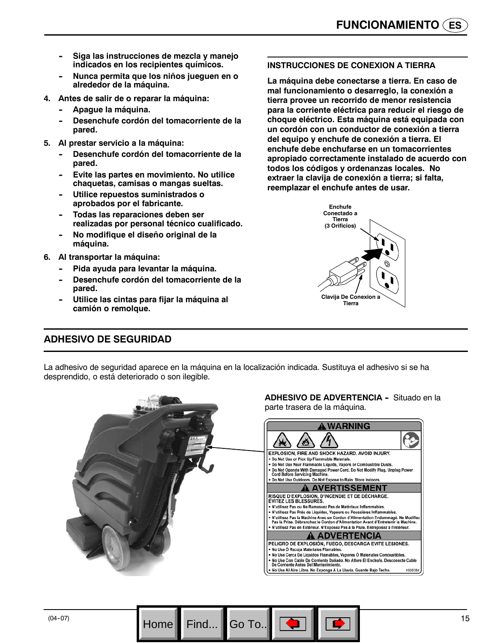- **-- Siga las instrucciones de mezcla y manejo indicados en los recipientes químicos.**
- **-- Nunca permita que los niños jueguen en o alrededor de la máquina.**
- **4. Antes de salir de o reparar la máquina:**
	- Apague la máquina.
	- Desenchufe cordón del tomacorriente de la **pared.**
- **5. Al prestar servicio a la máquina:**
	- Desenchufe cordón del tomacorriente de la **pared.**
	- Evite las partes en movimiento. No utilice **chaquetas, camisas o mangas sueltas.**
	- **Utilice repuestos suministrados o aprobados por el fabricante.**
	- **Todas las reparaciones deben ser realizadas por personal técnico cualificado.**
	- **-- No modifique el diseño original de la máquina.**
- **6. Al transportar la máquina:**
	- Pida ayuda para levantar la máquina.
	- Desenchufe cordón del tomacorriente de la **pared.**
	- **-- Utilice las cintas para fijar la máquina al camión o remolque.**

#### **INSTRUCCIONES DE CONEXION A TIERRA**

**La máquina debe conectarse a tierra. En caso de mal funcionamiento o desarreglo, la conexión a tierra provee un recorrido de menor resistencia para la corriente eléctrica para reducir el riesgo de choque eléctrico. Esta máquina está equipada con un cordón con un conductor de conexión a tierra del equipo y enchufe de conexión a tierra. El enchufe debe enchufarse en un tomacorrientes apropiado correctamente instalado de acuerdo con todos los códigos y ordenanzas locales. No extraer la clavija de conexión a tierra; si falta, reemplazar el enchufe antes de usar.**



# **ADHESIVO DE SEGURIDAD**

La adhesivo de seguridad aparece en la máquina en la localización indicada. Sustituya el adhesivo si se ha desprendido, o está deteriorado o son ilegible.



Home Find... Go To.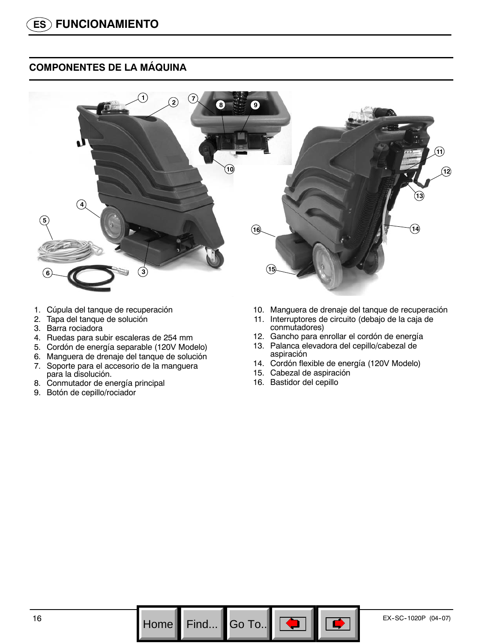# **COMPONENTES DE LA MÁQUINA**



- 1. Cúpula del tanque de recuperación
- 2. Tapa del tanque de solución
- 3. Barra rociadora
- 4. Ruedas para subir escaleras de 254 mm
- 5. Cordón de energía separable (120V Modelo)
- 6. Manguera de drenaje del tanque de solución
- 7. Soporte para el accesorio de la manguera para la disolución.
- 8. Conmutador de energía principal
- 9. Botón de cepillo/rociador
- 10. Manguera de drenaje del tanque de recuperación
- 11. Interruptores de circuito (debajo de la caja de conmutadores)
- 12. Gancho para enrollar el cordón de energía
- 13. Palanca elevadora del cepillo/cabezal de aspiración
- 14. Cordón flexible de energía (120V Modelo)
- 15. Cabezal de aspiración
- 16. Bastidor del cepillo

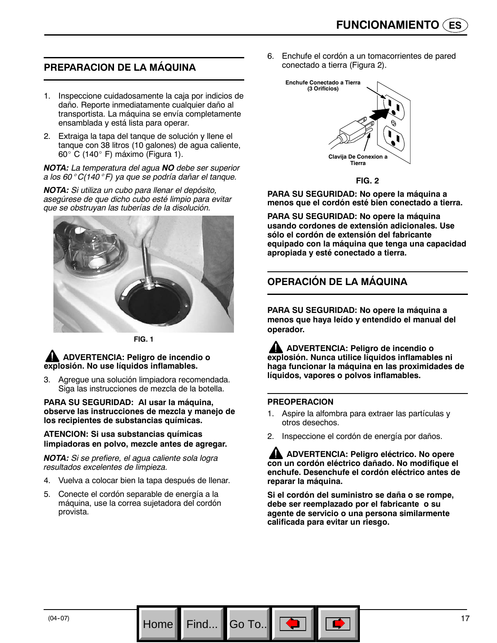# **PREPARACION DE LA MÁQUINA**

- 1. Inspeccione cuidadosamente la caja por indicios de daño. Reporte inmediatamente cualquier daño al transportista. La máquina se envía completamente ensamblada y está lista para operar.
- 2. Extraiga la tapa del tanque de solución y llene el tanque con 38 litros (10 galones) de agua caliente, 60 $^{\circ}$  C (140 $^{\circ}$  F) máximo (Figura 1).

*NOTA: La temperatura del agua NO debe ser superior a los 60*° *C(140*° *F) ya que se podría dañar el tanque.*

*NOTA: Si utiliza un cubo para llenar el depósito, asegúrese de que dicho cubo esté limpio para evitar que se obstruyan las tuberías de la disolución.*



**FIG. 1**

**ADVERTENCIA: Peligro de incendio o explosión. No use líquidos inflamables.**

3. Agregue una solución limpiadora recomendada. Siga las instrucciones de mezcla de la botella.

**PARA SU SEGURIDAD: Al usar la máquina, observe las instrucciones de mezcla y manejo de los recipientes de substancias químicas.**

#### **ATENCION: Si usa substancias químicas limpiadoras en polvo, mezcle antes de agregar.**

*NOTA: Si se prefiere, el agua caliente sola logra resultados excelentes de limpieza.*

- 4. Vuelva a colocar bien la tapa después de llenar.
- 5. Conecte el cordón separable de energía a la máquina, use la correa sujetadora del cordón provista.

Home Find... Go To.

6. Enchufe el cordón a un tomacorrientes de pared conectado a tierra (Figura 2).



**FIG. 2**

**PARA SU SEGURIDAD: No opere la máquina a menos que el cordón esté bien conectado a tierra.**

**PARA SU SEGURIDAD: No opere la máquina usando cordones de extensión adicionales. Use sólo el cordón de extensión del fabricante equipado con la máquina que tenga una capacidad apropiada y esté conectado a tierra.**

# **OPERACIÓN DE LA MÁQUINA**

**PARA SU SEGURIDAD: No opere la máquina a menos que haya leído y entendido el manual del operador.**

**ADVERTENCIA: Peligro de incendio o explosión. Nunca utilice líquidos inflamables ni haga funcionar la máquina en las proximidades de líquidos, vapores o polvos inflamables.**

#### **PREOPERACION**

- 1. Aspire la alfombra para extraer las partículas y otros desechos.
- 2. Inspeccione el cordón de energía por daños.

**ADVERTENCIA: Peligro eléctrico. No opere con un cordón eléctrico dañado. No modifique el enchufe. Desenchufe el cordón eléctrico antes de reparar la máquina.**

**Si el cordón del suministro se daña o se rompe, debe ser reemplazado por el fabricante o su agente de servicio o una persona similarmente calificada para evitar un riesgo.**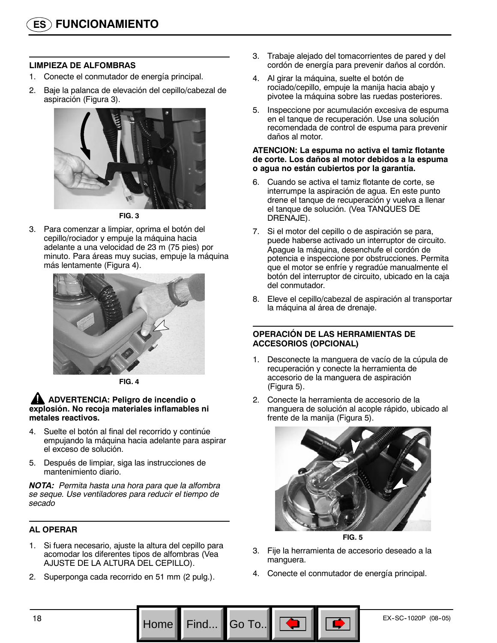#### **LIMPIEZA DE ALFOMBRAS**

- 1. Conecte el conmutador de energía principal.
- 2. Baje la palanca de elevación del cepillo/cabezal de aspiración (Figura 3).



**FIG. 3**

3. Para comenzar a limpiar, oprima el botón del cepillo/rociador y empuje la máquina hacia adelante a una velocidad de 23 m (75 pies) por minuto. Para áreas muy sucias, empuje la máquina más lentamente (Figura 4).



**FIG. 4**

#### **ADVERTENCIA: Peligro de incendio o explosión. No recoja materiales inflamables ni metales reactivos.**

- 4. Suelte el botón al final del recorrido y continúe empujando la máquina hacia adelante para aspirar el exceso de solución.
- 5. Después de limpiar, siga las instrucciones de mantenimiento diario.

*NOTA: Permita hasta una hora para que la alfombra se seque. Use ventiladores para reducir el tiempo de secado*

# **AL OPERAR**

- 1. Si fuera necesario, ajuste la altura del cepillo para acomodar los diferentes tipos de alfombras (Vea AJUSTE DE LA ALTURA DEL CEPILLO).
- 2. Superponga cada recorrido en 51 mm (2 pulg.).
- 3. Trabaje alejado del tomacorrientes de pared y del cordón de energía para prevenir daños al cordón.
- 4. Al girar la máquina, suelte el botón de rociado/cepillo, empuje la manija hacia abajo y pivotee la máquina sobre las ruedas posteriores.
- 5. Inspeccione por acumulación excesiva de espuma en el tanque de recuperación. Use una solución recomendada de control de espuma para prevenir daños al motor.

#### **ATENCION: La espuma no activa el tamiz flotante de corte. Los daños al motor debidos a la espuma o agua no están cubiertos por la garantía.**

- 6. Cuando se activa el tamiz flotante de corte, se interrumpe la aspiración de agua. En este punto drene el tanque de recuperación y vuelva a llenar el tanque de solución. (Vea TANQUES DE DRENAJE).
- 7. Si el motor del cepillo o de aspiración se para, puede haberse activado un interruptor de circuito. Apague la máquina, desenchufe el cordón de potencia e inspeccione por obstrucciones. Permita que el motor se enfríe y regradúe manualmente el botón del interruptor de circuito, ubicado en la caja del conmutador.
- 8. Eleve el cepillo/cabezal de aspiración al transportar la máquina al área de drenaje.

#### **OPERACIÓN DE LAS HERRAMIENTAS DE ACCESORIOS (OPCIONAL)**

- 1. Desconecte la manguera de vacío de la cúpula de recuperación y conecte la herramienta de accesorio de la manguera de aspiración (Figura 5).
- 2. Conecte la herramienta de accesorio de la manguera de solución al acople rápido, ubicado al frente de la manija (Figura 5).





- 3. Fije la herramienta de accesorio deseado a la manguera.
- 4. Conecte el conmutador de energía principal.

Go To.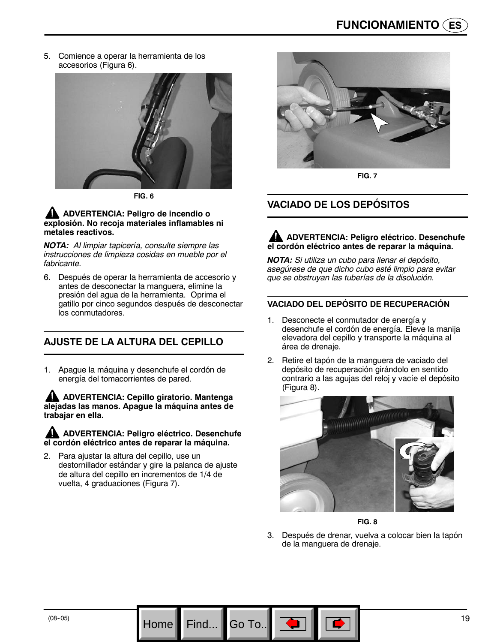5. Comience a operar la herramienta de los accesorios (Figura 6).



**FIG. 6**

#### **ADVERTENCIA: Peligro de incendio o explosión. No recoja materiales inflamables ni metales reactivos.**

*NOTA: Al limpiar tapicería, consulte siempre las instrucciones de limpieza cosidas en mueble por el fabricante.*

6. Después de operar la herramienta de accesorio y antes de desconectar la manguera, elimine la presión del agua de la herramienta. Oprima el gatillo por cinco segundos después de desconectar los conmutadores.

# **AJUSTE DE LA ALTURA DEL CEPILLO**

1. Apague la máquina y desenchufe el cordón de energía del tomacorrientes de pared.

**ADVERTENCIA: Cepillo giratorio. Mantenga alejadas las manos. Apague la máquina antes de trabajar en ella.**

#### **ADVERTENCIA: Peligro eléctrico. Desenchufe el cordón eléctrico antes de reparar la máquina.**

Para ajustar la altura del cepillo, use un destornillador estándar y gire la palanca de ajuste de altura del cepillo en incrementos de 1/4 de vuelta, 4 graduaciones (Figura 7).

Home Find... Go To.



**FIG. 7**

# **VACIADO DE LOS DEPÓSITOS**

# **ADVERTENCIA: Peligro eléctrico. Desenchufe el cordón eléctrico antes de reparar la máquina.**

*NOTA: Si utiliza un cubo para llenar el depósito, asegúrese de que dicho cubo esté limpio para evitar que se obstruyan las tuberías de la disolución.*

#### **VACIADO DEL DEPÓSITO DE RECUPERACIÓN**

- 1. Desconecte el conmutador de energía y desenchufe el cordón de energía. Eleve la manija elevadora del cepillo y transporte la máquina al área de drenaje.
- 2. Retire el tapón de la manguera de vaciado del depósito de recuperación girándolo en sentido contrario a las agujas del reloj y vacíe el depósito (Figura 8).



**FIG. 8**

3. Después de drenar, vuelva a colocar bien la tapón de la manguera de drenaje.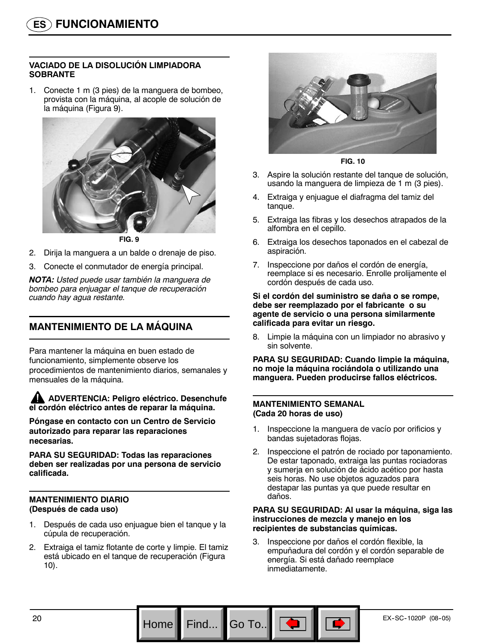#### **VACIADO DE LA DISOLUCIÓN LIMPIADORA SOBRANTE**

1. Conecte 1 m (3 pies) de la manguera de bombeo, provista con la máquina, al acople de solución de la máquina (Figura 9).



**FIG. 9**

- 2. Dirija la manguera a un balde o drenaje de piso.
- 3. Conecte el conmutador de energía principal.

*NOTA: Usted puede usar también la manguera de bombeo para enjuagar el tanque de recuperación cuando hay agua restante.*

# **MANTENIMIENTO DE LA MÁQUINA**

Para mantener la máquina en buen estado de funcionamiento, simplemente observe los procedimientos de mantenimiento diarios, semanales y mensuales de la máquina.

**ADVERTENCIA: Peligro eléctrico. Desenchufe el cordón eléctrico antes de reparar la máquina.**

**Póngase en contacto con un Centro de Servicio autorizado para reparar las reparaciones necesarias.**

**PARA SU SEGURIDAD: Todas las reparaciones deben ser realizadas por una persona de servicio calificada.**

#### **MANTENIMIENTO DIARIO (Después de cada uso)**

- 1. Después de cada uso enjuague bien el tanque y la cúpula de recuperación.
- 2. Extraiga el tamiz flotante de corte y limpie. El tamiz está ubicado en el tanque de recuperación (Figura 10).



**FIG. 10**

- 3. Aspire la solución restante del tanque de solución, usando la manguera de limpieza de 1 m (3 pies).
- 4. Extraiga y enjuague el diafragma del tamiz del tanque.
- 5. Extraiga las fibras y los desechos atrapados de la alfombra en el cepillo.
- 6. Extraiga los desechos taponados en el cabezal de aspiración.
- 7. Inspeccione por daños el cordón de energía, reemplace si es necesario. Enrolle prolijamente el cordón después de cada uso.

#### **Si el cordón del suministro se daña o se rompe, debe ser reemplazado por el fabricante o su agente de servicio o una persona similarmente calificada para evitar un riesgo.**

8. Limpie la máquina con un limpiador no abrasivo y sin solvente.

**PARA SU SEGURIDAD: Cuando limpie la máquina, no moje la máquina rociándola o utilizando una manguera. Pueden producirse fallos eléctricos.**

#### **MANTENIMIENTO SEMANAL (Cada 20 horas de uso)**

Go To.

- 1. Inspeccione la manguera de vacío por orificios y bandas sujetadoras flojas.
- 2. Inspeccione el patrón de rociado por taponamiento. De estar taponado, extraiga las puntas rociadoras y sumerja en solución de ácido acético por hasta seis horas. No use objetos aguzados para destapar las puntas ya que puede resultar en daños.

#### **PARA SU SEGURIDAD: Al usar la máquina, siga las instrucciones de mezcla y manejo en los recipientes de substancias químicas.**

3. Inspeccione por daños el cordón flexible, la empuñadura del cordón y el cordón separable de energía. Si está dañado reemplace inmediatamente.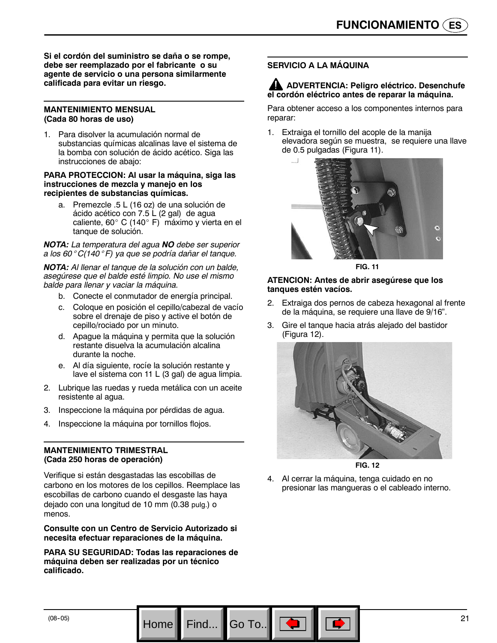**Si el cordón del suministro se daña o se rompe, debe ser reemplazado por el fabricante o su agente de servicio o una persona similarmente calificada para evitar un riesgo.**

#### **MANTENIMIENTO MENSUAL (Cada 80 horas de uso)**

1. Para disolver la acumulación normal de substancias químicas alcalinas lave el sistema de la bomba con solución de ácido acético. Siga las instrucciones de abajo:

#### **PARA PROTECCION: Al usar la máquina, siga las instrucciones de mezcla y manejo en los recipientes de substancias químicas.**

a. Premezcle .5 L (16 oz) de una solución de ácido acético con 7.5 L (2 gal) de agua caliente, 60° C (140° F) máximo y vierta en el tanque de solución.

*NOTA: La temperatura del agua NO debe ser superior a los 60*° *C(140*° *F) ya que se podría dañar el tanque.*

*NOTA: Al llenar el tanque de la solución con un balde, asegúrese que el balde esté limpio. No use el mismo balde para llenar y vaciar la máquina.*

- b. Conecte el conmutador de energía principal.
- c. Coloque en posición el cepillo/cabezal de vacío sobre el drenaje de piso y active el botón de cepillo/rociado por un minuto.
- d. Apague la máquina y permita que la solución restante disuelva la acumulación alcalina durante la noche.
- e. Al día siguiente, rocíe la solución restante y lave el sistema con 11 L (3 gal) de agua limpia.
- 2. Lubrique las ruedas y rueda metálica con un aceite resistente al agua.
- 3. Inspeccione la máquina por pérdidas de agua.
- 4. Inspeccione la máquina por tornillos flojos.

#### **MANTENIMIENTO TRIMESTRAL (Cada 250 horas de operación)**

Verifique si están desgastadas las escobillas de carbono en los motores de los cepillos. Reemplace las escobillas de carbono cuando el desgaste las haya dejado con una longitud de 10 mm (0.38 pulg.) o menos.

#### **Consulte con un Centro de Servicio Autorizado si necesita efectuar reparaciones de la máquina.**

**PARA SU SEGURIDAD: Todas las reparaciones de máquina deben ser realizadas por un técnico calificado.**

Home Find... Go To.

### **SERVICIO A LA MÁQUINA**

#### **ADVERTENCIA: Peligro eléctrico. Desenchufe el cordón eléctrico antes de reparar la máquina.**

Para obtener acceso a los componentes internos para reparar:

1. Extraiga el tornillo del acople de la manija elevadora según se muestra, se requiere una llave de 0.5 pulgadas (Figura 11).



**FIG. 11**

#### **ATENCION: Antes de abrir asegúrese que los tanques estén vacíos.**

- 2. Extraiga dos pernos de cabeza hexagonal al frente de la máquina, se requiere una llave de 9/16".
- 3. Gire el tanque hacia atrás alejado del bastidor (Figura 12).



**FIG. 12**

4. Al cerrar la máquina, tenga cuidado en no presionar las mangueras o el cableado interno.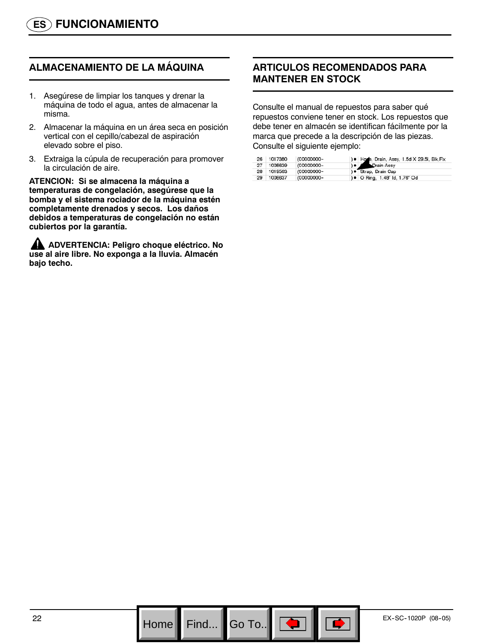# **ALMACENAMIENTO DE LA MÁQUINA**

- 1. Asegúrese de limpiar los tanques y drenar la máquina de todo el agua, antes de almacenar la misma.
- 2. Almacenar la máquina en un área seca en posición vertical con el cepillo/cabezal de aspiración elevado sobre el piso.
- 3. Extraiga la cúpula de recuperación para promover la circulación de aire.

**ATENCION: Si se almacena la máquina a temperaturas de congelación, asegúrese que la bomba y el sistema rociador de la máquina estén completamente drenados y secos. Los daños debidos a temperaturas de congelación no están cubiertos por la garantía.**

**ADVERTENCIA: Peligro choque eléctrico. No use al aire libre. No exponga a la lluvia. Almacén bajo techo.**

# **ARTICULOS RECOMENDADOS PARA MANTENER EN STOCK**

Consulte el manual de repuestos para saber qué repuestos conviene tener en stock. Los repuestos que debe tener en almacén se identifican fácilmente por la marca que precede a la descripción de las piezas. Consulte el siguiente ejemplo:

|    | 26 1017380 | (00000000- | ) . Hone, Drain, Assy, 1.5d X 29.5l, Blk, Flx |
|----|------------|------------|-----------------------------------------------|
| 27 | 1008639    | (00000000- | Drain Assy                                    |
| 28 | 1019563    | (00000000- | ) · Strap, Drain Cap                          |
| 29 | 1008637    | (00000000- | ) • O Ring, 1.48" Id, 1.76" Od                |

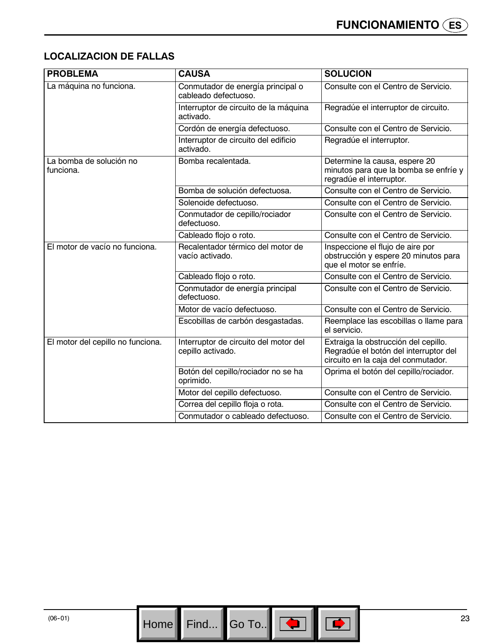# **LOCALIZACION DE FALLAS**

| <b>PROBLEMA</b>                      | <b>CAUSA</b>                                               | <b>SOLUCION</b>                                                                                                      |
|--------------------------------------|------------------------------------------------------------|----------------------------------------------------------------------------------------------------------------------|
| La máquina no funciona.              | Conmutador de energía principal o<br>cableado defectuoso.  | Consulte con el Centro de Servicio.                                                                                  |
|                                      | Interruptor de circuito de la máquina<br>activado.         | Regradúe el interruptor de circuito.                                                                                 |
|                                      | Cordón de energía defectuoso.                              | Consulte con el Centro de Servicio.                                                                                  |
|                                      | Interruptor de circuito del edificio<br>activado.          | Regradúe el interruptor.                                                                                             |
| La bomba de solución no<br>funciona. | Bomba recalentada.                                         | Determine la causa, espere 20<br>minutos para que la bomba se enfríe y<br>regradúe el interruptor.                   |
|                                      | Bomba de solución defectuosa.                              | Consulte con el Centro de Servicio.                                                                                  |
|                                      | Solenoide defectuoso.                                      | Consulte con el Centro de Servicio.                                                                                  |
|                                      | Conmutador de cepillo/rociador<br>defectuoso.              | Consulte con el Centro de Servicio.                                                                                  |
|                                      | Cableado flojo o roto.                                     | Consulte con el Centro de Servicio.                                                                                  |
| El motor de vacío no funciona.       | Recalentador térmico del motor de<br>vacío activado.       | Inspeccione el flujo de aire por<br>obstrucción y espere 20 minutos para<br>que el motor se enfríe.                  |
|                                      | Cableado flojo o roto.                                     | Consulte con el Centro de Servicio.                                                                                  |
|                                      | Conmutador de energía principal<br>defectuoso.             | Consulte con el Centro de Servicio.                                                                                  |
|                                      | Motor de vacío defectuoso.                                 | Consulte con el Centro de Servicio.                                                                                  |
|                                      | Escobillas de carbón desgastadas.                          | Reemplace las escobillas o llame para<br>el servicio.                                                                |
| El motor del cepillo no funciona.    | Interruptor de circuito del motor del<br>cepillo activado. | Extraiga la obstrucción del cepillo.<br>Regradúe el botón del interruptor del<br>circuito en la caja del conmutador. |
|                                      | Botón del cepillo/rociador no se ha<br>oprimido.           | Oprima el botón del cepillo/rociador.                                                                                |
|                                      | Motor del cepillo defectuoso.                              | Consulte con el Centro de Servicio.                                                                                  |
|                                      | Correa del cepillo floja o rota.                           | Consulte con el Centro de Servicio.                                                                                  |
|                                      | Conmutador o cableado defectuoso.                          | Consulte con el Centro de Servicio.                                                                                  |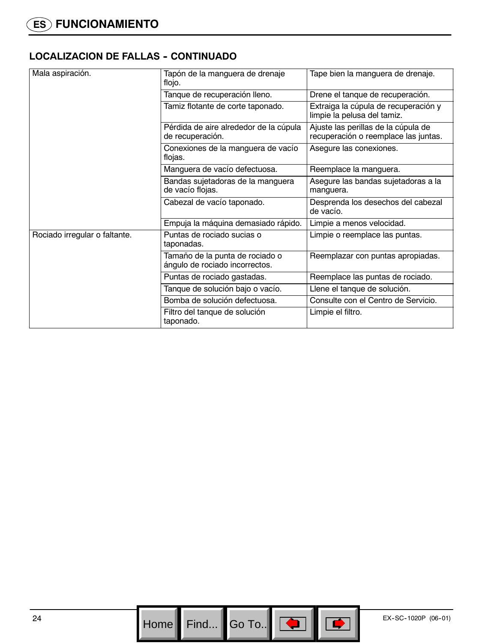# **LOCALIZACION DE FALLAS - CONTINUADO**

| Mala aspiración.              | Tapón de la manguera de drenaje<br>flojo.                         | Tape bien la manguera de drenaje.                                           |
|-------------------------------|-------------------------------------------------------------------|-----------------------------------------------------------------------------|
|                               | Tanque de recuperación lleno.                                     | Drene el tanque de recuperación.                                            |
|                               | Tamiz flotante de corte taponado.                                 | Extraiga la cúpula de recuperación y<br>limpie la pelusa del tamiz.         |
|                               | Pérdida de aire alrededor de la cúpula<br>de recuperación.        | Ajuste las perillas de la cúpula de<br>recuperación o reemplace las juntas. |
|                               | Conexiones de la manguera de vacío<br>flojas.                     | Asegure las conexiones.                                                     |
|                               | Manguera de vacío defectuosa.                                     | Reemplace la manguera.                                                      |
|                               | Bandas sujetadoras de la manguera<br>de vacío flojas.             | Asegure las bandas sujetadoras a la<br>manguera.                            |
|                               | Cabezal de vacío taponado.                                        | Desprenda los desechos del cabezal<br>de vacío.                             |
|                               | Empuja la máquina demasiado rápido.                               | Limpie a menos velocidad.                                                   |
| Rociado irregular o faltante. | Puntas de rociado sucias o<br>taponadas.                          | Limpie o reemplace las puntas.                                              |
|                               | Tamaño de la punta de rociado o<br>ángulo de rociado incorrectos. | Reemplazar con puntas apropiadas.                                           |
|                               | Puntas de rociado gastadas.                                       | Reemplace las puntas de rociado.                                            |
|                               | Tanque de solución bajo o vacío.                                  | Llene el tanque de solución.                                                |
|                               | Bomba de solución defectuosa.                                     | Consulte con el Centro de Servicio.                                         |
|                               | Filtro del tanque de solución<br>taponado.                        | Limpie el filtro.                                                           |

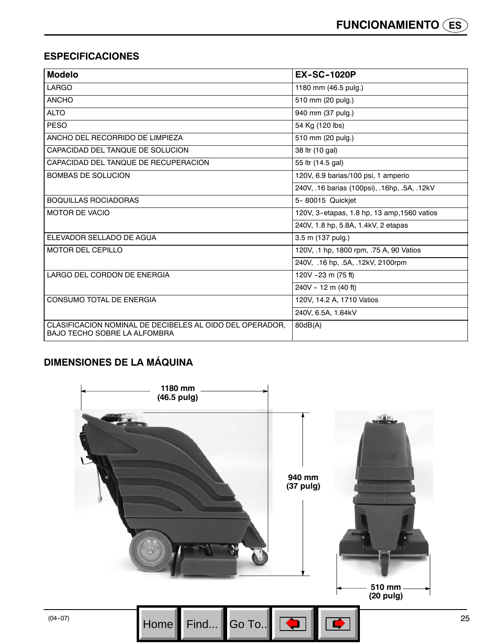# **ESPECIFICACIONES**

| <b>Modelo</b>                                                                                   | <b>EX-SC-1020P</b>                           |
|-------------------------------------------------------------------------------------------------|----------------------------------------------|
| LARGO                                                                                           | 1180 mm (46.5 pulg.)                         |
| <b>ANCHO</b>                                                                                    | 510 mm (20 pulg.)                            |
| <b>ALTO</b>                                                                                     | 940 mm (37 pulg.)                            |
| <b>PESO</b>                                                                                     | 54 Kg (120 lbs)                              |
| ANCHO DEL RECORRIDO DE LIMPIEZA                                                                 | 510 mm (20 pulg.)                            |
| CAPACIDAD DEL TANQUE DE SOLUCION                                                                | 38 ltr (10 gal)                              |
| CAPACIDAD DEL TANQUE DE RECUPERACION                                                            | 55 ltr (14.5 gal)                            |
| <b>BOMBAS DE SOLUCION</b>                                                                       | 120V, 6.9 barias/100 psi, 1 amperio          |
|                                                                                                 | 240V, .16 barias (100psi), .16hp, .5A, .12kV |
| <b>BOQUILLAS ROCIADORAS</b>                                                                     | 5-80015 Quickjet                             |
| <b>MOTOR DE VACIO</b>                                                                           | 120V, 3-etapas, 1.8 hp, 13 amp, 1560 vatios  |
|                                                                                                 | 240V, 1.8 hp, 5.8A, 1.4kV, 2 etapas          |
| ELEVADOR SELLADO DE AGUA                                                                        | 3.5 m (137 pulg.)                            |
| <b>MOTOR DEL CEPILLO</b>                                                                        | 120V, .1 hp, 1800 rpm, .75 A, 90 Vatios      |
|                                                                                                 | 240V, .16 hp, .5A, .12kV, 2100rpm            |
| LARGO DEL CORDON DE ENERGIA                                                                     | 120V - 23 m (75 ft)                          |
|                                                                                                 | 240V - 12 m (40 ft)                          |
| <b>CONSUMO TOTAL DE ENERGIA</b>                                                                 | 120V. 14.2 A. 1710 Vatios                    |
|                                                                                                 | 240V, 6.5A, 1.64kV                           |
| CLASIFICACION NOMINAL DE DECIBELES AL OIDO DEL OPERADOR,<br><b>BAJO TECHO SOBRE LA ALFOMBRA</b> | 80dB(A)                                      |

# **DIMENSIONES DE LA MÁQUINA**

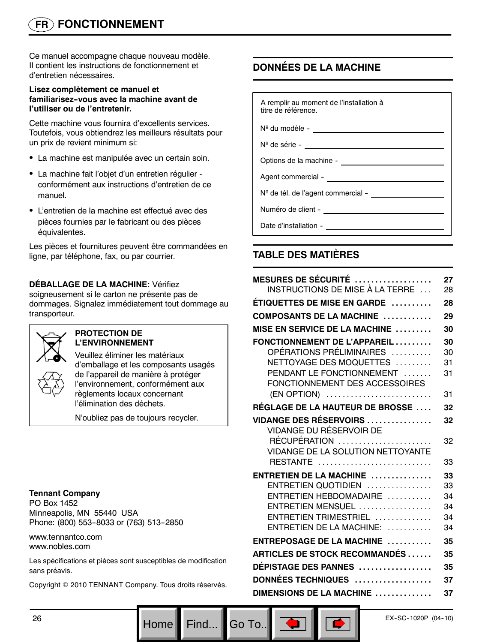# **FR FONCTIONNEMENT**

Ce manuel accompagne chaque nouveau modèle. Il contient les instructions de fonctionnement et d'entretien nécessaires.

#### **Lisez complètement ce manuel et familiarisez--vous avec la machine avant de l'utiliser ou de l'entretenir.**

Cette machine vous fournira d'excellents services. Toutefois, vous obtiendrez les meilleurs résultats pour un prix de revient minimum si:

- La machine est manipulée avec un certain soin.
- La machine fait l'objet d'un entretien régulier conformément aux instructions d'entretien de ce manuel.
- L'entretien de la machine est effectué avec des pièces fournies par le fabricant ou des pièces équivalentes.

Les pièces et fournitures peuvent être commandées en ligne, par téléphone, fax, ou par courrier.

### **DÉBALLAGE DE LA MACHINE:** Vérifiez

soigneusement si le carton ne présente pas de dommages. Signalez immédiatement tout dommage au transporteur.



#### **PROTECTION DE L'ENVIRONNEMENT**

Veuillez éliminer les matériaux d'emballage et les composants usagés de l'appareil de manière à protéger l'environnement, conformément aux règlements locaux concernant l'élimination des déchets.

N'oubliez pas de toujours recycler.

#### **Tennant Company**

PO Box 1452 Minneapolis, MN 55440 USA Phone: (800) 553-8033 or (763) 513-2850

www.tennantco.com www.nobles.com

Les spécifications et pièces sont susceptibles de modification sans préavis.

Copyright © 2010 TENNANT Company. Tous droits réservés.

# **DONNÉES DE LA MACHINE**

A remplir au moment de l'installation à titre de référence.

Nº du modèle --

Nº de série -

Options de la machine -

Agent commercial - \_\_\_

N<sup>o</sup> de tél. de l'agent commercial -

Numéro de client --

Date d'installation -

# **TABLE DES MATIÈRES**

| MESURES DE SÉCURITÉ<br>INSTRUCTIONS DE MISE À LA TERRE ...                                                                                                        | 27<br>28                   |
|-------------------------------------------------------------------------------------------------------------------------------------------------------------------|----------------------------|
| ÉTIQUETTES DE MISE EN GARDE                                                                                                                                       | 28                         |
| COMPOSANTS DE LA MACHINE                                                                                                                                          | 29                         |
| MISE EN SERVICE DE LA MACHINE                                                                                                                                     | 30                         |
| FONCTIONNEMENT DE L'APPAREIL<br>OPÉRATIONS PRÉLIMINAIRES<br>NETTOYAGE DES MOQUETTES<br>PENDANT LE FONCTIONNEMENT<br>FONCTIONNEMENT DES ACCESSOIRES<br>(EN OPTION) | 30<br>30<br>31<br>31<br>31 |
| <b>RÉGLAGE DE LA HAUTEUR DE BROSSE </b>                                                                                                                           | 32                         |
| <b>VIDANGE DES RÉSERVOIRS</b><br>VIDANGE DU RÉSERVOIR DE                                                                                                          | 32                         |
| RÉCUPÉRATION<br><b>VIDANGE DE LA SOLUTION NETTOYANTE</b><br>RESTANTE                                                                                              | 32<br>33                   |
| $ENTRETIEN DE LA MACHINE$                                                                                                                                         | 33                         |
| ENTRETIEN QUOTIDIEN                                                                                                                                               | 33                         |
| ENTRETIEN HEBDOMADAIRE                                                                                                                                            | 34                         |
| ENTRETIEN MENSUEL                                                                                                                                                 | 34                         |
| ENTRETIEN TRIMESTRIEL<br>$ENTRETIEN DE LA MACHINE:$                                                                                                               | 34<br>34                   |
| ENTREPOSAGE DE LA MACHINE                                                                                                                                         | 35                         |
| <b>ARTICLES DE STOCK RECOMMANDÉS </b>                                                                                                                             | 35                         |
|                                                                                                                                                                   |                            |
| DÉPISTAGE DES PANNES                                                                                                                                              | 35                         |
| DONNÉES TECHNIQUES                                                                                                                                                | 37                         |
| DIMENSIONS DE LA MACHINE                                                                                                                                          | 37                         |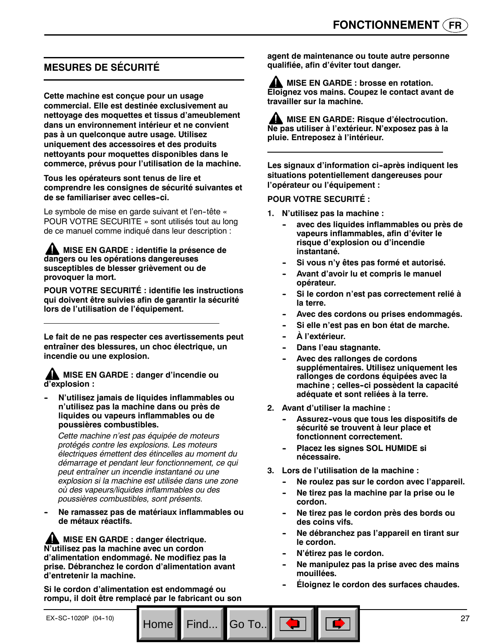# **MESURES DE SÉCURITÉ**

**Cette machine est conçue pour un usage commercial. Elle est destinée exclusivement au nettoyage des moquettes et tissus d'ameublement dans un environnement intérieur et ne convient pas à un quelconque autre usage. Utilisez uniquement des accessoires et des produits nettoyants pour moquettes disponibles dans le commerce, prévus pour l'utilisation de la machine.**

#### **Tous les opérateurs sont tenus de lire et comprendre les consignes de sécurité suivantes et de se familiariser avec celles--ci.**

Le symbole de mise en garde suivant et l'en-tête « POUR VOTRE SECURITE » sont utilisés tout au long de ce manuel comme indiqué dans leur description :

**A MISE EN GARDE : identifie la présence de dangers ou les opérations dangereuses susceptibles de blesser grièvement ou de provoquer la mort.**

**POUR VOTRE SECURITÉ : identifie les instructions qui doivent être suivies afin de garantir la sécurité lors de l'utilisation de l'équipement.**

**Le fait de ne pas respecter ces avertissements peut entraîner des blessures, un choc électrique, un incendie ou une explosion.**

**MISE EN GARDE : danger d'incendie ou d'explosion :**

**N'utilisez jamais de liquides inflammables ou n'utilisez pas la machine dans ou près de liquides ou vapeurs inflammables ou de poussières combustibles.**

*Cette machine n'est pas équipée de moteurs protégés contre les explosions. Les moteurs électriques émettent des étincelles au moment du démarrage et pendant leur fonctionnement, ce qui peut entraîner un incendie instantané ou une explosion si la machine est utilisée dans une zone où des vapeurs/liquides inflammables ou des poussières combustibles, sont présents.*

Ne ramassez pas de matériaux inflammables ou **de métaux réactifs.**

**AL MISE EN GARDE : danger électrique. N'utilisez pas la machine avec un cordon d'alimentation endommagé. Ne modifiez pas la prise. Débranchez le cordon d'alimentation avant d'entretenir la machine.**

**Si le cordon d'alimentation est endommagé ou rompu, il doit être remplacé par le fabricant ou son**

**agent de maintenance ou toute autre personne qualifiée, afin d'éviter tout danger.**

**AL MISE EN GARDE : brosse en rotation. Eloignez vos mains. Coupez le contact avant de travailler sur la machine.**

**MISE EN GARDE: Risque d'électrocution. Ne pas utiliser à l'extérieur. N'exposez pas à la pluie. Entreposez à l'intérieur.**

Les signaux d'information ci-après indiquent les **situations potentiellement dangereuses pour l'opérateur ou l'équipement :**

#### **POUR VOTRE SECURITÉ :**

- **1. N'utilisez pas la machine :**
	- avec des liquides inflammables ou près de **vapeurs inflammables, afin d'éviter le risque d'explosion ou d'incendie instantané.**
	- Si vous n'y êtes pas formé et autorisé.
	- Avant d'avoir lu et compris le manuel **opérateur.**
	- Si le cordon n'est pas correctement relié à **la terre.**
	- Avec des cordons ou prises endommagés.
	- Si elle n'est pas en bon état de marche.
	- $\mathbf{\dot{A}}$  l'extérieur.
	- **Dans l'eau stagnante.**
	- Avec des rallonges de cordons **supplémentaires. Utilisez uniquement les rallonges de cordons équipées avec la machine ; celles--ci possèdent la capacité adéquate et sont reliées à la terre.**
- **2. Avant d'utiliser la machine :**
	- Assurez-vous que tous les dispositifs de **sécurité se trouvent à leur place et fonctionnent correctement.**
	- **Placez les signes SOL HUMIDE si nécessaire.**
- **3. Lors de l'utilisation de la machine :**
	- Ne roulez pas sur le cordon avec l'appareil.
	- Ne tirez pas la machine par la prise ou le **cordon.**
	- Ne tirez pas le cordon près des bords ou **des coins vifs.**
	- **-- Ne débranchez pas l'appareil en tirant sur le cordon.**
	- $N'$ étirez pas le cordon.

Go To.

- Ne manipulez pas la prise avec des mains **mouillées.**
- **Éloignez le cordon des surfaces chaudes.**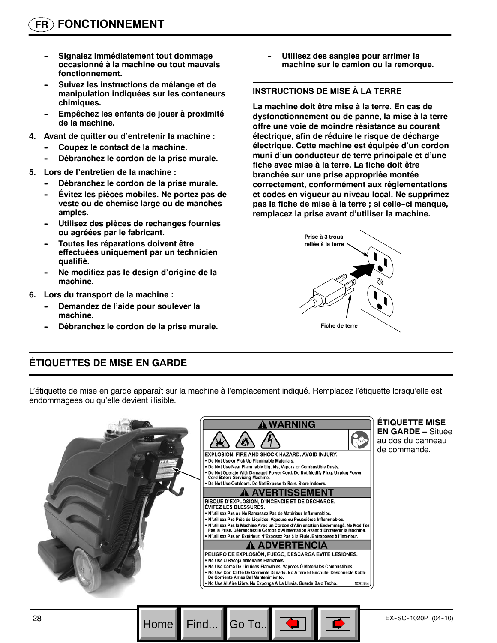- **Signalez immédiatement tout dommage occasionné à la machine ou tout mauvais fonctionnement.**
- Suivez les instructions de mélange et de **manipulation indiquées sur les conteneurs chimiques.**
- Empêchez les enfants de jouer à proximité **de la machine.**
- **4. Avant de quitter ou d'entretenir la machine :**
	- Coupez le contact de la machine.
	- Débranchez le cordon de la prise murale.
- **5. Lors de l'entretien de la machine :**
	- Débranchez le cordon de la prise murale.
	- **Évitez les pièces mobiles. Ne portez pas de veste ou de chemise large ou de manches amples.**
	- Utilisez des pièces de rechanges fournies **ou agréées par le fabricant.**
	- **Toutes les réparations doivent être effectuées uniquement par un technicien qualifié.**
	- **-- Ne modifiez pas le design d'origine de la machine.**
- **6. Lors du transport de la machine :**
	- **Demandez de l'aide pour soulever la machine.**
	- Débranchez le cordon de la prise murale.

**Utilisez des sangles pour arrimer la machine sur le camion ou la remorque.**

#### **INSTRUCTIONS DE MISE À LA TERRE**

**La machine doit être mise à la terre. En cas de dysfonctionnement ou de panne, la mise à la terre offre une voie de moindre résistance au courant électrique, afin de réduire le risque de décharge électrique. Cette machine est équipée d'un cordon muni d'un conducteur de terre principale et d'une fiche avec mise à la terre. La fiche doit être branchée sur une prise appropriée montée correctement, conformément aux réglementations et codes en vigueur au niveau local. Ne supprimez pas la fiche de mise à la terre ; si celle--ci manque, remplacez la prise avant d'utiliser la machine.**



# **ÉTIQUETTES DE MISE EN GARDE**

L'étiquette de mise en garde apparaît sur la machine à l'emplacement indiqué. Remplacez l'étiquette lorsqu'elle est endommagées ou qu'elle devient illisible.



Go To.

**ÉTIQUETTE MISE EN GARDE –** Située au dos du panneau de commande.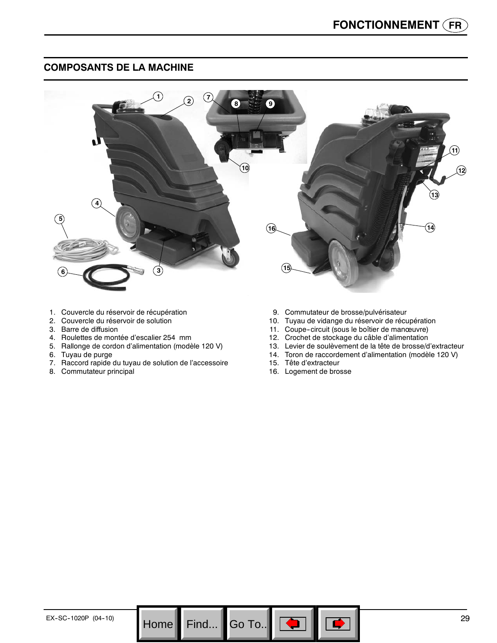# **COMPOSANTS DE LA MACHINE**



Go To.. $\|$ 

- 1. Couvercle du réservoir de récupération
- 2. Couvercle du réservoir de solution
- 3. Barre de diffusion
- 4. Roulettes de montée d'escalier 254 mm
- 5. Rallonge de cordon d'alimentation (modèle 120 V)
- 6. Tuyau de purge
- 7. Raccord rapide du tuyau de solution de l'accessoire
- 8. Commutateur principal
- 9. Commutateur de brosse/pulvérisateur
- 10. Tuyau de vidange du réservoir de récupération
- 11. Coupe-circuit (sous le boîtier de manœuvre)
- 12. Crochet de stockage du câble d'alimentation
- 13. Levier de soulèvement de la tête de brosse/d'extracteur
- 14. Toron de raccordement d'alimentation (modèle 120 V)
- 15. Tête d'extracteur
- 16. Logement de brosse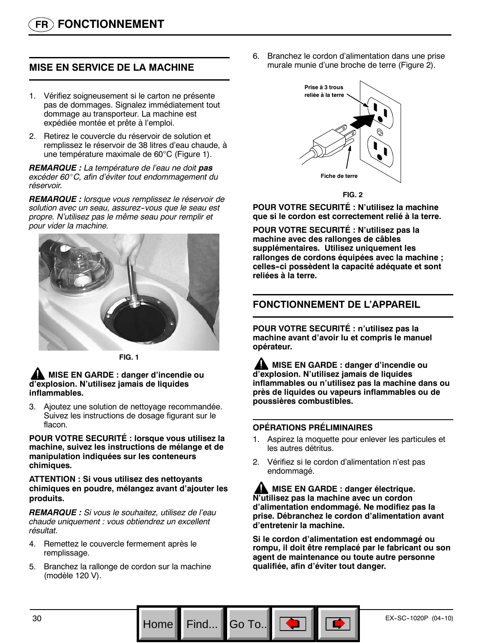# **MISE EN SERVICE DE LA MACHINE**

- 1. Vérifiez soigneusement si le carton ne présente pas de dommages. Signalez immédiatement tout dommage au transporteur. La machine est expédiée montée et prête à l'emploi.
- 2. Retirez le couvercle du réservoir de solution et remplissez le réservoir de 38 litres d'eau chaude, à une température maximale de 60°C (Figure 1).

*REMARQUE : La température de l'eau ne doit pas excéder 60*\_*C, afin d'éviter tout endommagement du réservoir.*

*REMARQUE : lorsque vous remplissez le réservoir de solution avec un seau, assurez--vous que le seau est propre. N'utilisez pas le même seau pour remplir et pour vider la machine.*



**FIG. 1**

#### **MISE EN GARDE : danger d'incendie ou d'explosion. N'utilisez jamais de liquides inflammables.**

3. Ajoutez une solution de nettoyage recommandée. Suivez les instructions de dosage figurant sur le flacon.

**POUR VOTRE SECURITÉ : lorsque vous utilisez la machine, suivez les instructions de mélange et de manipulation indiquées sur les conteneurs chimiques.**

#### **ATTENTION : Si vous utilisez des nettoyants chimiques en poudre, mélangez avant d'ajouter les produits.**

*REMARQUE : Si vous le souhaitez, utilisez de l'eau chaude uniquement : vous obtiendrez un excellent résultat.*

- 4. Remettez le couvercle fermement après le remplissage.
- 5. Branchez la rallonge de cordon sur la machine (modèle 120 V).

6. Branchez le cordon d'alimentation dans une prise murale munie d'une broche de terre (Figure 2).



**FIG. 2**

**POUR VOTRE SECURITÉ : N'utilisez la machine que si le cordon est correctement relié à la terre.**

**POUR VOTRE SECURITÉ : N'utilisez pas la machine avec des rallonges de câbles supplémentaires. Utilisez uniquement les rallonges de cordons équipées avec la machine ; celles--ci possèdent la capacité adéquate et sont reliées à la terre.**

# **FONCTIONNEMENT DE L'APPAREIL**

**POUR VOTRE SECURITÉ : n'utilisez pas la machine avant d'avoir lu et compris le manuel opérateur.**

**MISE EN GARDE : danger d'incendie ou d'explosion. N'utilisez jamais de liquides inflammables ou n'utilisez pas la machine dans ou près de liquides ou vapeurs inflammables ou de poussières combustibles.**

#### **OPÉRATIONS PRÉLIMINAIRES**

Go To.

- 1. Aspirez la moquette pour enlever les particules et les autres détritus.
- 2. Vérifiez si le cordon d'alimentation n'est pas endommagé.

**AL MISE EN GARDE : danger électrique. N'utilisez pas la machine avec un cordon d'alimentation endommagé. Ne modifiez pas la prise. Débranchez le cordon d'alimentation avant d'entretenir la machine.**

**Si le cordon d'alimentation est endommagé ou rompu, il doit être remplacé par le fabricant ou son agent de maintenance ou toute autre personne qualifiée, afin d'éviter tout danger.**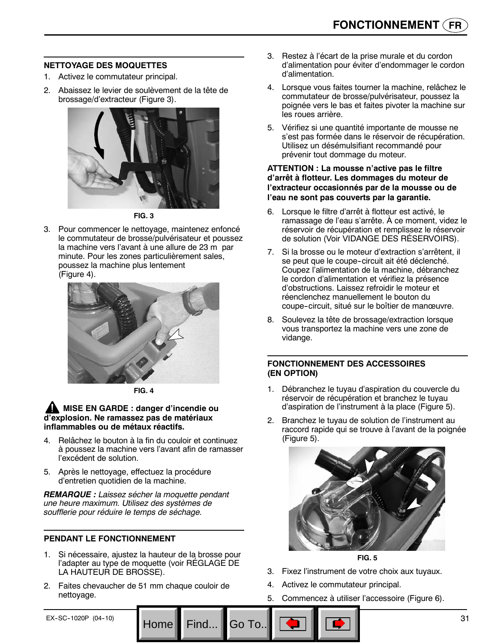#### **NETTOYAGE DES MOQUETTES**

- 1. Activez le commutateur principal.
- 2. Abaissez le levier de soulèvement de la tête de brossage/d'extracteur (Figure 3).



**FIG. 3**

3. Pour commencer le nettoyage, maintenez enfoncé le commutateur de brosse/pulvérisateur et poussez la machine vers l'avant à une allure de 23 m par minute. Pour les zones particulièrement sales, poussez la machine plus lentement (Figure 4).



**FIG. 4**

#### **MISE EN GARDE : danger d'incendie ou d'explosion. Ne ramassez pas de matériaux inflammables ou de métaux réactifs.**

- 4. Relâchez le bouton à la fin du couloir et continuez à poussez la machine vers l'avant afin de ramasser l'excédent de solution.
- 5. Après le nettoyage, effectuez la procédure d'entretien quotidien de la machine.

*REMARQUE : Laissez sécher la moquette pendant une heure maximum. Utilisez des systèmes de soufflerie pour réduire le temps de séchage.*

#### **PENDANT LE FONCTIONNEMENT**

- 1. Si nécessaire, ajustez la hauteur de la brosse pour l'adapter au type de moquette (voir RÉGLAGE DE LA HAUTEUR DE BROSSE).
- 2. Faites chevaucher de 51 mm chaque couloir de nettoyage.
- 3. Restez à l'écart de la prise murale et du cordon d'alimentation pour éviter d'endommager le cordon d'alimentation.
- 4. Lorsque vous faites tourner la machine, relâchez le commutateur de brosse/pulvérisateur, poussez la poignée vers le bas et faites pivoter la machine sur les roues arrière.
- 5. Vérifiez si une quantité importante de mousse ne s'est pas formée dans le réservoir de récupération. Utilisez un désémulsifiant recommandé pour prévenir tout dommage du moteur.

#### **ATTENTION : La mousse n'active pas le filtre d'arrêt à flotteur. Les dommages du moteur de l'extracteur occasionnés par de la mousse ou de l'eau ne sont pas couverts par la garantie.**

- 6. Lorsque le filtre d'arrêt à flotteur est activé, le ramassage de l'eau s'arrête. À ce moment, videz le réservoir de récupération et remplissez le réservoir de solution (Voir VIDANGE DES RÉSERVOIRS).
- 7. Si la brosse ou le moteur d'extraction s'arrêtent, il se peut que le coupe-circuit ait été déclenché. Coupez l'alimentation de la machine, débranchez le cordon d'alimentation et vérifiez la présence d'obstructions. Laissez refroidir le moteur et réenclenchez manuellement le bouton du coupe-circuit, situé sur le boîtier de manœuvre.
- 8. Soulevez la tête de brossage/extraction lorsque vous transportez la machine vers une zone de vidange.

#### **FONCTIONNEMENT DES ACCESSOIRES (EN OPTION)**

- 1. Débranchez le tuyau d'aspiration du couvercle du réservoir de récupération et branchez le tuyau d'aspiration de l'instrument à la place (Figure 5).
- 2. Branchez le tuyau de solution de l'instrument au raccord rapide qui se trouve à l'avant de la poignée (Figure 5).



**FIG. 5**

- 3. Fixez l'instrument de votre choix aux tuyaux.
- 4. Activez le commutateur principal.
- 5. Commencez à utiliser l'accessoire (Figure 6).

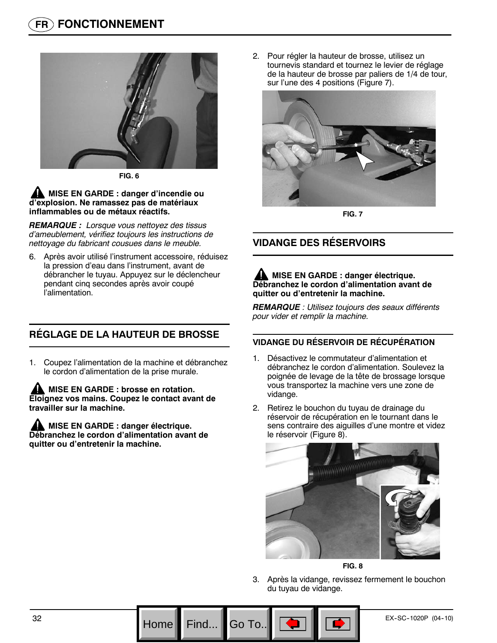

**FIG. 6**

#### **MISE EN GARDE : danger d'incendie ou d'explosion. Ne ramassez pas de matériaux inflammables ou de métaux réactifs.**

*REMARQUE : Lorsque vous nettoyez des tissus d'ameublement, vérifiez toujours les instructions de nettoyage du fabricant cousues dans le meuble.*

6. Après avoir utilisé l'instrument accessoire, réduisez la pression d'eau dans l'instrument, avant de débrancher le tuyau. Appuyez sur le déclencheur pendant cinq secondes après avoir coupé l'alimentation.

# **RÉGLAGE DE LA HAUTEUR DE BROSSE**

1. Coupez l'alimentation de la machine et débranchez le cordon d'alimentation de la prise murale.

**ANISE EN GARDE : brosse en rotation. Eloignez vos mains. Coupez le contact avant de travailler sur la machine.**

**MISE EN GARDE : danger électrique. Débranchez le cordon d'alimentation avant de quitter ou d'entretenir la machine.**

2. Pour régler la hauteur de brosse, utilisez un tournevis standard et tournez le levier de réglage de la hauteur de brosse par paliers de 1/4 de tour, sur l'une des 4 positions (Figure 7).



**FIG. 7**

# **VIDANGE DES RÉSERVOIRS**

#### **AL MISE EN GARDE : danger électrique. Débranchez le cordon d'alimentation avant de quitter ou d'entretenir la machine.**

*REMARQUE : Utilisez toujours des seaux différents pour vider et remplir la machine.*

# **VIDANGE DU RÉSERVOIR DE RÉCUPÉRATION**

- 1. Désactivez le commutateur d'alimentation et débranchez le cordon d'alimentation. Soulevez la poignée de levage de la tête de brossage lorsque vous transportez la machine vers une zone de vidange.
- 2. Retirez le bouchon du tuyau de drainage du réservoir de récupération en le tournant dans le sens contraire des aiguilles d'une montre et videz le réservoir (Figure 8).





3. Après la vidange, revissez fermement le bouchon du tuyau de vidange.

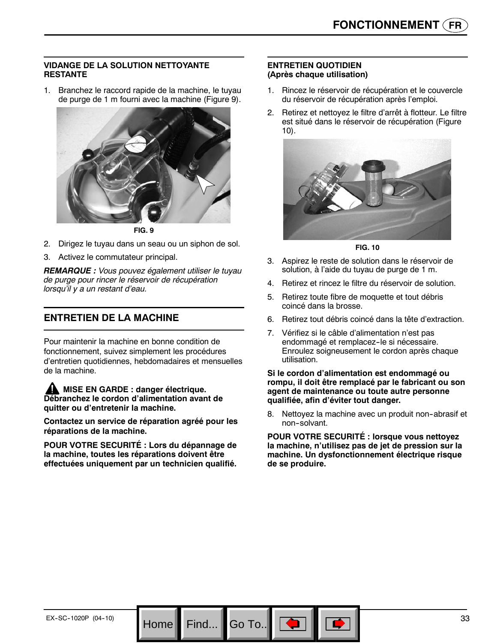#### **VIDANGE DE LA SOLUTION NETTOYANTE RESTANTE**

1. Branchez le raccord rapide de la machine, le tuyau de purge de 1 m fourni avec la machine (Figure 9).



**FIG. 9**

- 2. Dirigez le tuyau dans un seau ou un siphon de sol.
- 3. Activez le commutateur principal.

*REMARQUE : Vous pouvez également utiliser le tuyau de purge pour rincer le réservoir de récupération lorsqu'il y a un restant d'eau.*

# **ENTRETIEN DE LA MACHINE**

Pour maintenir la machine en bonne condition de fonctionnement, suivez simplement les procédures d'entretien quotidiennes, hebdomadaires et mensuelles de la machine.

**MISE EN GARDE : danger électrique. Débranchez le cordon d'alimentation avant de quitter ou d'entretenir la machine.**

**Contactez un service de réparation agréé pour les réparations de la machine.**

**POUR VOTRE SECURITÉ : Lors du dépannage de la machine, toutes les réparations doivent être effectuées uniquement par un technicien qualifié.**

Find...

#### **ENTRETIEN QUOTIDIEN (Après chaque utilisation)**

- 1. Rincez le réservoir de récupération et le couvercle du réservoir de récupération après l'emploi.
- 2. Retirez et nettoyez le filtre d'arrêt à flotteur. Le filtre est situé dans le réservoir de récupération (Figure 10).



**FIG. 10**

- 3. Aspirez le reste de solution dans le réservoir de solution, à l'aide du tuyau de purge de 1 m.
- 4. Retirez et rincez le filtre du réservoir de solution.
- 5. Retirez toute fibre de moquette et tout débris coincé dans la brosse.
- 6. Retirez tout débris coincé dans la tête d'extraction.
- 7. Vérifiez si le câble d'alimentation n'est pas endommagé et remplacez-le si nécessaire. Enroulez soigneusement le cordon après chaque utilisation.

**Si le cordon d'alimentation est endommagé ou rompu, il doit être remplacé par le fabricant ou son agent de maintenance ou toute autre personne qualifiée, afin d'éviter tout danger.**

8. Nettoyez la machine avec un produit non-abrasif et non-solvant.

**POUR VOTRE SECURITÉ : lorsque vous nettoyez la machine, n'utilisez pas de jet de pression sur la machine. Un dysfonctionnement électrique risque de se produire.**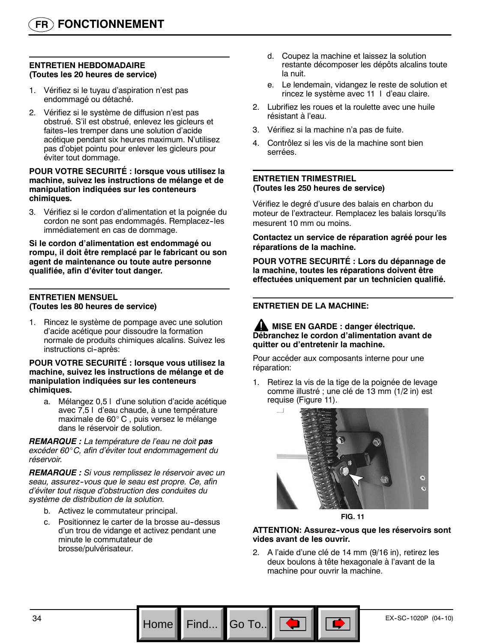#### **ENTRETIEN HEBDOMADAIRE (Toutes les 20 heures de service)**

- 1. Vérifiez si le tuyau d'aspiration n'est pas endommagé ou détaché.
- 2. Vérifiez si le système de diffusion n'est pas obstrué. S'il est obstrué, enlevez les gicleurs et faites--les tremper dans une solution d'acide acétique pendant six heures maximum. N'utilisez pas d'objet pointu pour enlever les gicleurs pour éviter tout dommage.

#### **POUR VOTRE SECURITÉ : lorsque vous utilisez la machine, suivez les instructions de mélange et de manipulation indiquées sur les conteneurs chimiques.**

3. Vérifiez si le cordon d'alimentation et la poignée du cordon ne sont pas endommagés. Remplacez-les immédiatement en cas de dommage.

**Si le cordon d'alimentation est endommagé ou rompu, il doit être remplacé par le fabricant ou son agent de maintenance ou toute autre personne qualifiée, afin d'éviter tout danger.**

#### **ENTRETIEN MENSUEL (Toutes les 80 heures de service)**

1. Rincez le système de pompage avec une solution d'acide acétique pour dissoudre la formation normale de produits chimiques alcalins. Suivez les instructions ci-après:

#### **POUR VOTRE SECURITÉ : lorsque vous utilisez la machine, suivez les instructions de mélange et de manipulation indiquées sur les conteneurs chimiques.**

a. Mélangez 0,5 l d'une solution d'acide acétique avec 7,5 l d'eau chaude, à une température maximale de 60°C, puis versez le mélange dans le réservoir de solution.

*REMARQUE : La température de l'eau ne doit pas excéder 60*\_*C, afin d'éviter tout endommagement du réservoir.*

*REMARQUE : Si vous remplissez le réservoir avec un seau, assurez--vous que le seau est propre. Ce, afin d'éviter tout risque d'obstruction des conduites du système de distribution de la solution.*

- b. Activez le commutateur principal.
- c. Positionnez le carter de la brosse au-dessus d'un trou de vidange et activez pendant une minute le commutateur de brosse/pulvérisateur.
- d. Coupez la machine et laissez la solution restante décomposer les dépôts alcalins toute la nuit.
- e. Le lendemain, vidangez le reste de solution et rincez le système avec 11 l d'eau claire.
- 2. Lubrifiez les roues et la roulette avec une huile résistant à l'eau.
- 3. Vérifiez si la machine n'a pas de fuite.
- 4. Contrôlez si les vis de la machine sont bien serrées.

#### **ENTRETIEN TRIMESTRIEL (Toutes les 250 heures de service)**

Vérifiez le degré d'usure des balais en charbon du moteur de l'extracteur. Remplacez les balais lorsqu'ils mesurent 10 mm ou moins.

**Contactez un service de réparation agréé pour les réparations de la machine.**

**POUR VOTRE SECURITÉ : Lors du dépannage de la machine, toutes les réparations doivent être effectuées uniquement par un technicien qualifié.**

#### **ENTRETIEN DE LA MACHINE:**

#### **A** MISE EN GARDE : danger électrique. **Débranchez le cordon d'alimentation avant de quitter ou d'entretenir la machine.**

Pour accéder aux composants interne pour une réparation:

1. Retirez la vis de la tige de la poignée de levage comme illustré ; une clé de 13 mm (1/2 in) est requise (Figure 11).





#### **ATTENTION: Assurez--vous que les réservoirs sont vides avant de les ouvrir.**

2. A l'aide d'une clé de 14 mm (9/16 in), retirez les deux boulons à tête hexagonale à l'avant de la machine pour ouvrir la machine.

Go To..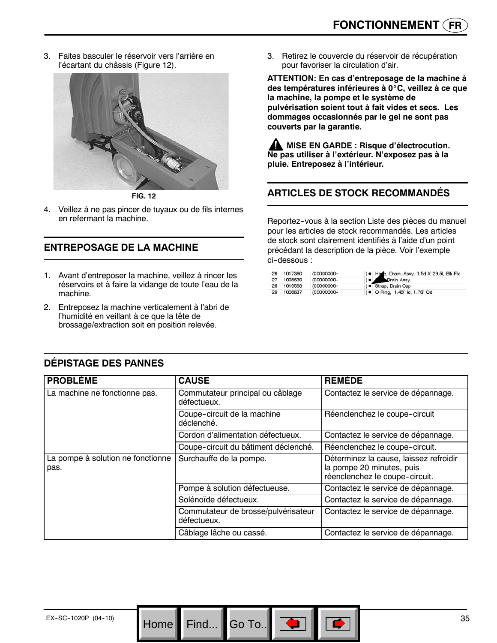3. Faites basculer le réservoir vers l'arrière en l'écartant du châssis (Figure 12).



**FIG. 12**

4. Veillez à ne pas pincer de tuyaux ou de fils internes en refermant la machine.

# **ENTREPOSAGE DE LA MACHINE**

- 1. Avant d'entreposer la machine, veillez à rincer les réservoirs et à faire la vidange de toute l'eau de la machine.
- 2. Entreposez la machine verticalement à l'abri de l'humidité en veillant à ce que la tête de brossage/extraction soit en position relevée.

3. Retirez le couvercle du réservoir de récupération pour favoriser la circulation d'air.

**ATTENTION: En cas d'entreposage de la machine à des températures inférieures à 0**\_**C, veillez à ce que la machine, la pompe et le système de pulvérisation soient tout à fait vides et secs. Les dommages occasionnés par le gel ne sont pas couverts par la garantie.**

**MISE EN GARDE : Risque d'électrocution. Ne pas utiliser à l'extérieur. N'exposez pas à la pluie. Entreposez à l'intérieur.**

# **ARTICLES DE STOCK RECOMMANDÉS**

Reportez--vous à la section Liste des pièces du manuel pour les articles de stock recommandés. Les articles de stock sont clairement identifiés à l'aide d'un point précédant la description de la pièce. Voir l'exemple ci-dessous :

| 26 | 1017380    | (00000000- | ) ● Hose, Drain, Assy, 1.5d X 29.5l, Blk, Flx |
|----|------------|------------|-----------------------------------------------|
| 27 | 1008639    | (00000000- | Drain Assy                                    |
|    | 28 1019563 | (00000000- | ) · Strap, Drain Cap                          |
| 29 | 1008637    | (00000000- | ) • O Ring, 1.48" Id, 1.76" Od                |

| <b>PROBLÈME</b>                           | <b>CAUSE</b>                                       | <b>REMEDE</b>                                                                                         |
|-------------------------------------------|----------------------------------------------------|-------------------------------------------------------------------------------------------------------|
| La machine ne fonctionne pas.             | Commutateur principal ou câblage<br>défectueux.    | Contactez le service de dépannage.                                                                    |
|                                           | Coupe-circuit de la machine<br>déclenché.          | Réenclenchez le coupe-circuit                                                                         |
|                                           | Cordon d'alimentation défectueux.                  | Contactez le service de dépannage.                                                                    |
|                                           | Coupe-circuit du bâtiment déclenché.               | Réenclenchez le coupe-circuit.                                                                        |
| La pompe à solution ne fonctionne<br>pas. | Surchauffe de la pompe.                            | Déterminez la cause, laissez refroidir<br>la pompe 20 minutes, puis<br>réenclenchez le coupe-circuit. |
|                                           | Pompe à solution défectueuse.                      | Contactez le service de dépannage.                                                                    |
|                                           | Solénoïde défectueux.                              | Contactez le service de dépannage.                                                                    |
|                                           | Commutateur de brosse/pulvérisateur<br>défectueux. | Contactez le service de dépannage.                                                                    |
|                                           | Câblage lâche ou cassé.                            | Contactez le service de dépannage.                                                                    |

Go To..

# **DÉPISTAGE DES PANNES**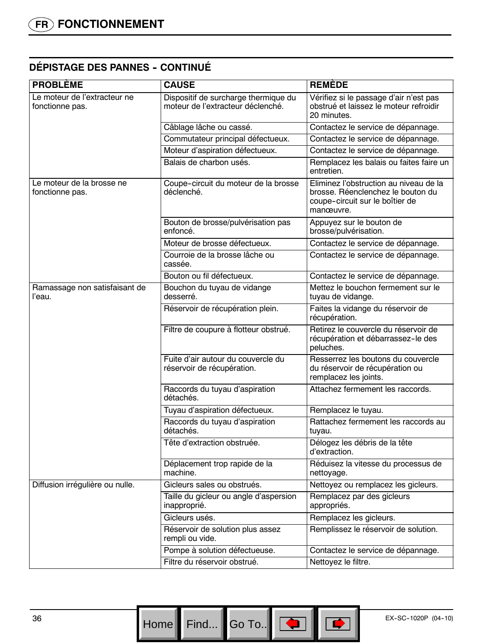# **DÉPISTAGE DES PANNES - CONTINUÉ**

| <b>PROBLÈME</b>                                 | <b>CAUSE</b>                                                              | <b>REMÈDE</b>                                                                                                               |
|-------------------------------------------------|---------------------------------------------------------------------------|-----------------------------------------------------------------------------------------------------------------------------|
| Le moteur de l'extracteur ne<br>fonctionne pas. | Dispositif de surcharge thermique du<br>moteur de l'extracteur déclenché. | Vérifiez si le passage d'air n'est pas<br>obstrué et laissez le moteur refroidir<br>20 minutes.                             |
|                                                 | Câblage lâche ou cassé.                                                   | Contactez le service de dépannage.                                                                                          |
|                                                 | Commutateur principal défectueux.                                         | Contactez le service de dépannage.                                                                                          |
|                                                 | Moteur d'aspiration défectueux.                                           | Contactez le service de dépannage.                                                                                          |
|                                                 | Balais de charbon usés.                                                   | Remplacez les balais ou faites faire un<br>entretien.                                                                       |
| Le moteur de la brosse ne<br>fonctionne pas.    | Coupe-circuit du moteur de la brosse<br>déclenché.                        | Eliminez l'obstruction au niveau de la<br>brosse. Réenclenchez le bouton du<br>coupe-circuit sur le boîtier de<br>manœuvre. |
|                                                 | Bouton de brosse/pulvérisation pas<br>enfoncé.                            | Appuyez sur le bouton de<br>brosse/pulvérisation.                                                                           |
|                                                 | Moteur de brosse défectueux.                                              | Contactez le service de dépannage.                                                                                          |
|                                                 | Courroie de la brosse lâche ou<br>cassée.                                 | Contactez le service de dépannage.                                                                                          |
|                                                 | Bouton ou fil défectueux.                                                 | Contactez le service de dépannage.                                                                                          |
| Ramassage non satisfaisant de<br>l'eau.         | Bouchon du tuyau de vidange<br>desserré.                                  | Mettez le bouchon fermement sur le<br>tuyau de vidange.                                                                     |
|                                                 | Réservoir de récupération plein.                                          | Faites la vidange du réservoir de<br>récupération.                                                                          |
|                                                 | Filtre de coupure à flotteur obstrué.                                     | Retirez le couvercle du réservoir de<br>récupération et débarrassez-le des<br>peluches.                                     |
|                                                 | Fuite d'air autour du couvercle du<br>réservoir de récupération.          | Resserrez les boutons du couvercle<br>du réservoir de récupération ou<br>remplacez les joints.                              |
|                                                 | Raccords du tuyau d'aspiration<br>détachés.                               | Attachez fermement les raccords.                                                                                            |
|                                                 | Tuyau d'aspiration défectueux.                                            | Remplacez le tuyau.                                                                                                         |
|                                                 | Raccords du tuyau d'aspiration<br>détachés.                               | Rattachez fermement les raccords au<br>tuyau.                                                                               |
|                                                 | Tête d'extraction obstruée.                                               | Délogez les débris de la tête<br>d'extraction.                                                                              |
|                                                 | Déplacement trop rapide de la<br>machine.                                 | Réduisez la vitesse du processus de<br>nettoyage.                                                                           |
| Diffusion irrégulière ou nulle.                 | Gicleurs sales ou obstrués.                                               | Nettoyez ou remplacez les gicleurs.                                                                                         |
|                                                 | Taille du gicleur ou angle d'aspersion<br>inapproprié.                    | Remplacez par des gicleurs<br>appropriés.                                                                                   |
|                                                 | Gicleurs usés.                                                            | Remplacez les gicleurs.                                                                                                     |
|                                                 | Réservoir de solution plus assez<br>rempli ou vide.                       | Remplissez le réservoir de solution.                                                                                        |
|                                                 | Pompe à solution défectueuse.                                             | Contactez le service de dépannage.                                                                                          |
|                                                 | Filtre du réservoir obstrué.                                              | Nettoyez le filtre.                                                                                                         |